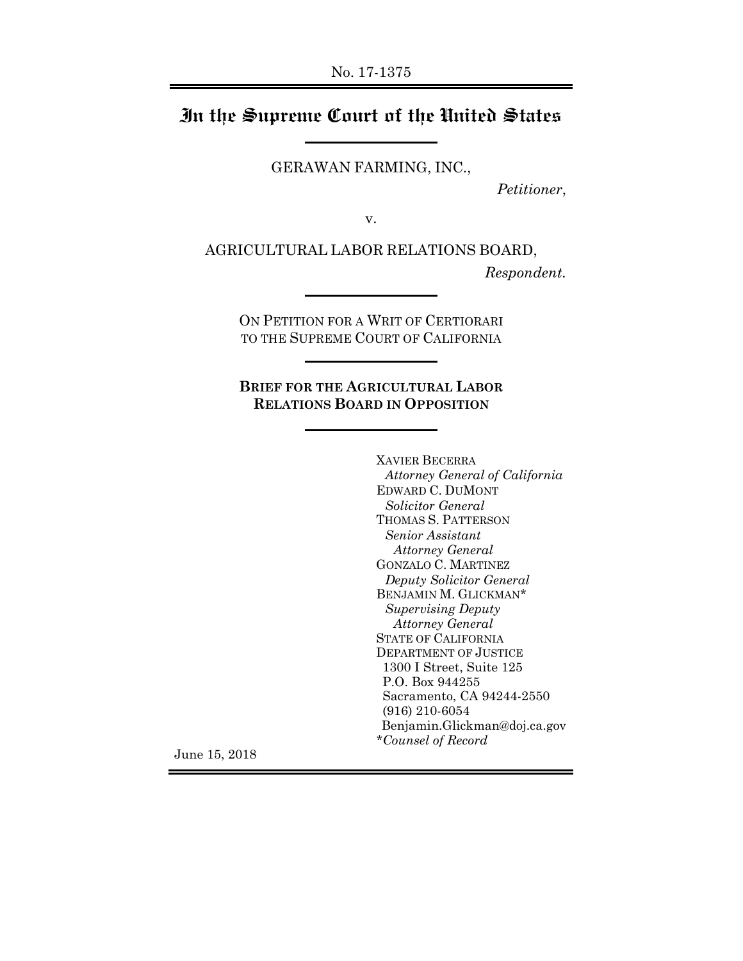## **In the Supreme Court of the United States**

GERAWAN FARMING, INC.,

*Petitioner*,

v.

AGRICULTURAL LABOR RELATIONS BOARD,

*Respondent.*

ON PETITION FOR A WRIT OF CERTIORARI TO THE SUPREME COURT OF CALIFORNIA

**BRIEF FOR THE AGRICULTURAL LABOR RELATIONS BOARD IN OPPOSITION** 

> XAVIER BECERRA *Attorney General of California*  EDWARD C. DUMONT *Solicitor General*  THOMAS S. PATTERSON *Senior Assistant Attorney General* GONZALO C. MARTINEZ *Deputy Solicitor General*  BENJAMIN M. GLICKMAN\* *Supervising Deputy Attorney General*  STATE OF CALIFORNIA DEPARTMENT OF JUSTICE 1300 I Street, Suite 125 P.O. Box 944255 Sacramento, CA 94244-2550 (916) 210-6054 Benjamin.Glickman@doj.ca.gov *\*Counsel of Record*

June 15, 2018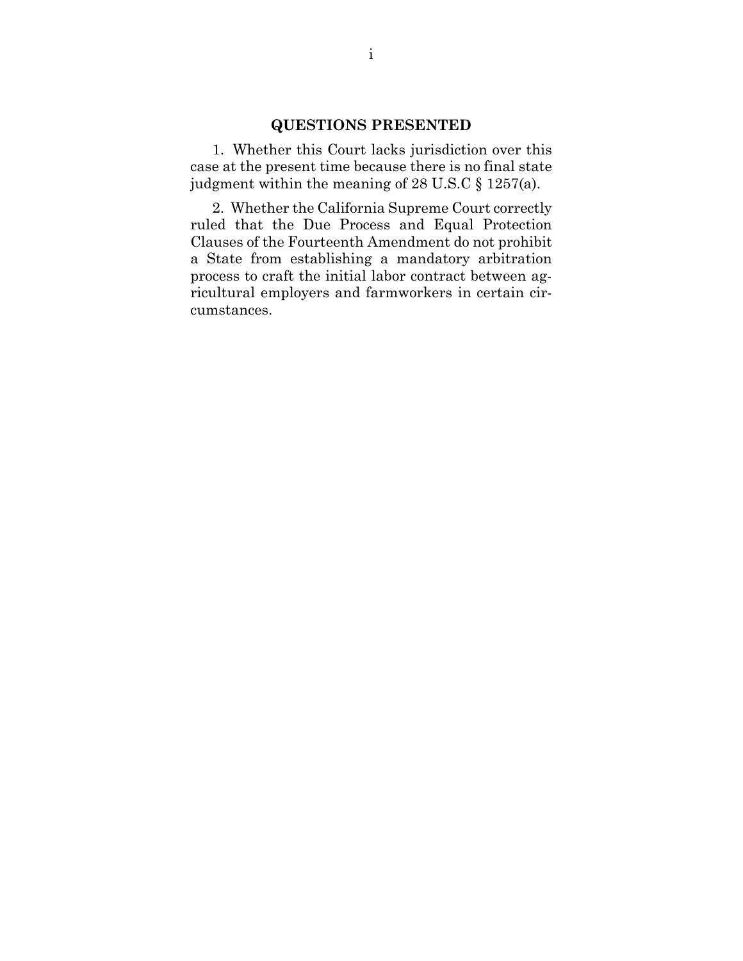#### **QUESTIONS PRESENTED**

1. Whether this Court lacks jurisdiction over this case at the present time because there is no final state judgment within the meaning of 28 U.S.C § 1257(a).

2. Whether the California Supreme Court correctly ruled that the Due Process and Equal Protection Clauses of the Fourteenth Amendment do not prohibit a State from establishing a mandatory arbitration process to craft the initial labor contract between agricultural employers and farmworkers in certain circumstances.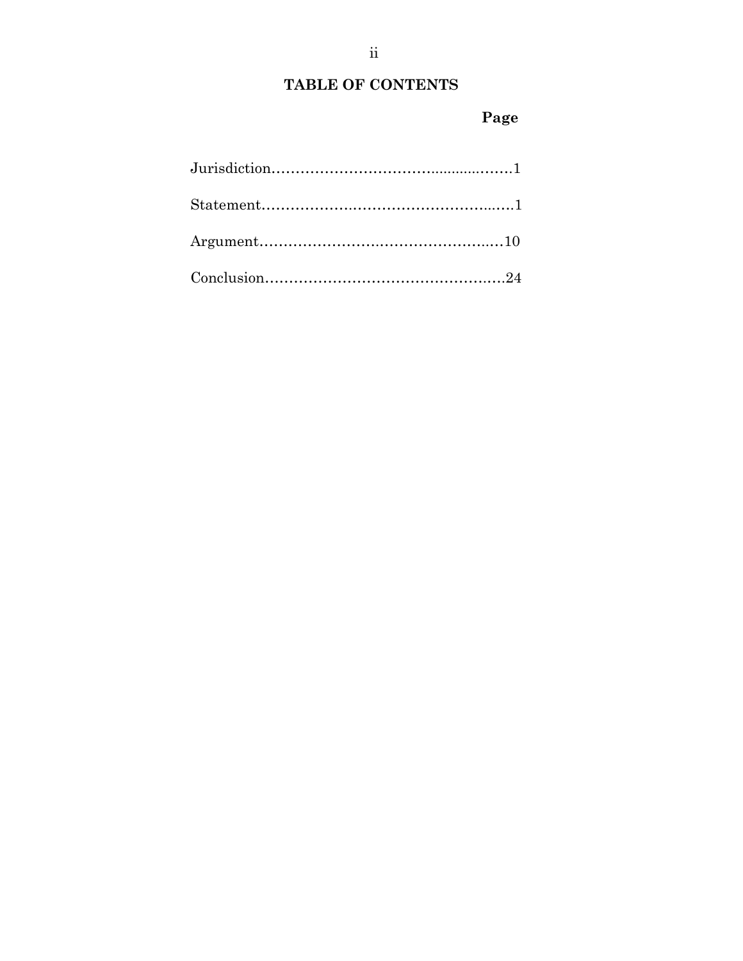# **TABLE OF CONTENTS**

# **Page**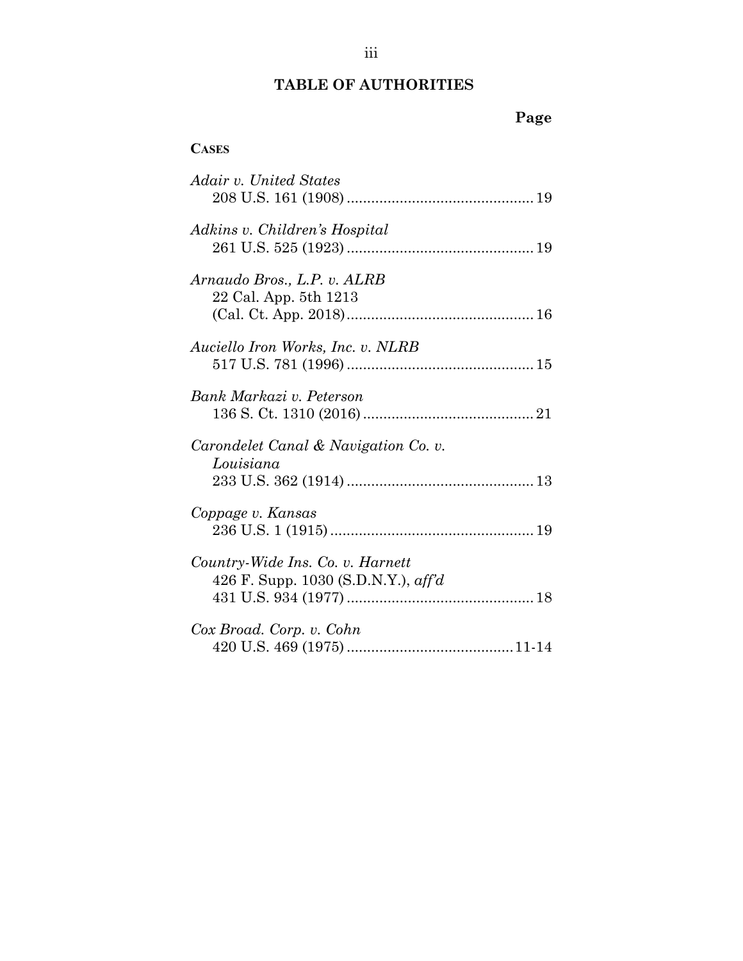## **TABLE OF AUTHORITIES**

# **Page**

#### **CASES**

| Adair v. United States                                                  |
|-------------------------------------------------------------------------|
| Adkins v. Children's Hospital                                           |
| Arnaudo Bros., L.P. v. ALRB<br>22 Cal. App. 5th 1213                    |
| Auciello Iron Works, Inc. v. NLRB                                       |
| Bank Markazi v. Peterson                                                |
| Carondelet Canal & Navigation Co. v.<br>Louisiana                       |
| Coppage v. Kansas                                                       |
| Country-Wide Ins. Co. v. Harnett<br>426 F. Supp. 1030 (S.D.N.Y.), aff'd |
| Cox Broad. Corp. v. Cohn                                                |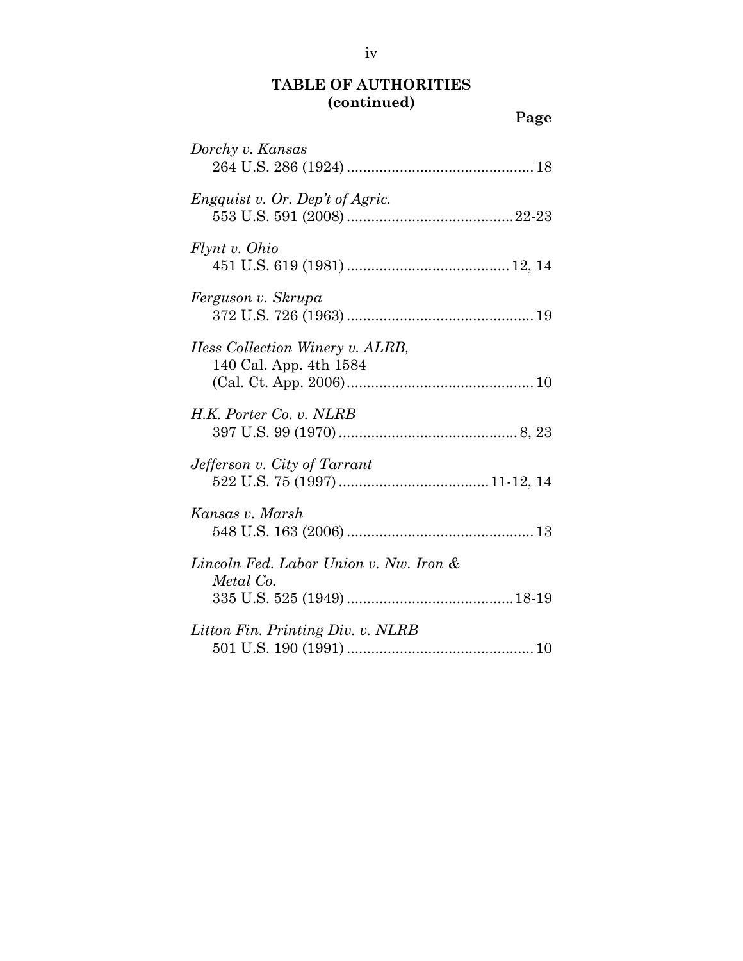**Page**

| Dorchy v. Kansas                                          |
|-----------------------------------------------------------|
| <i>Engquist v. Or. Dep't of Agric.</i>                    |
| Flynt v. Ohio                                             |
| Ferguson v. Skrupa                                        |
| Hess Collection Winery v. ALRB,<br>140 Cal. App. 4th 1584 |
| H.K. Porter Co. v. NLRB                                   |
| Jefferson v. City of Tarrant                              |
| Kansas v. Marsh                                           |
| Lincoln Fed. Labor Union v. Nw. Iron &<br>Metal Co.       |
| Litton Fin. Printing Div. v. NLRB                         |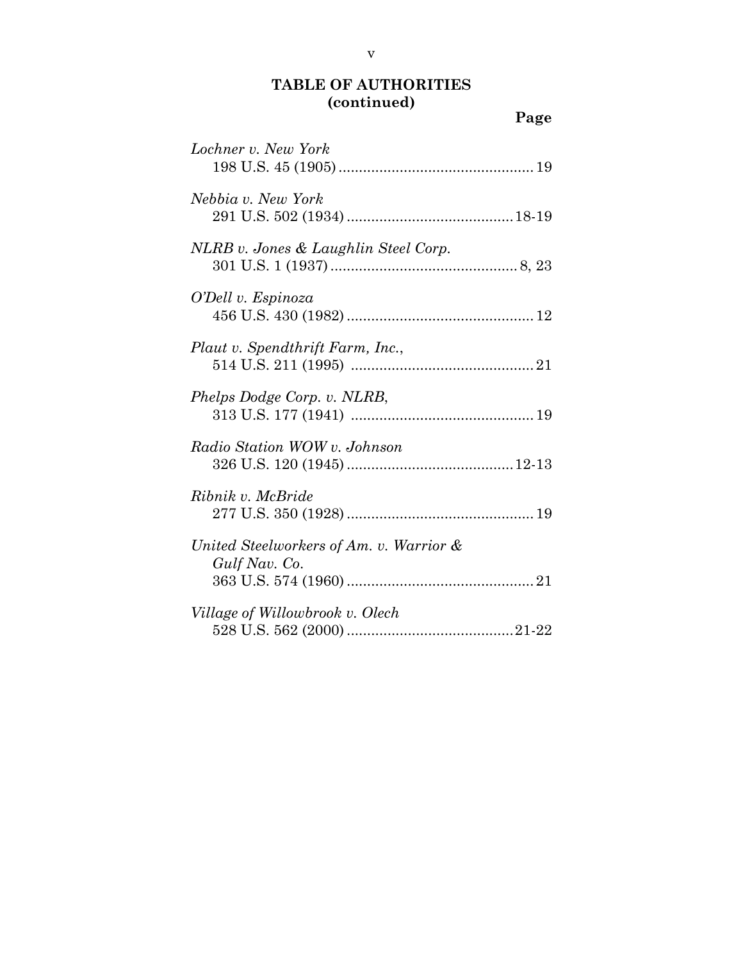**Page**

| Lochner v. New York                                      |
|----------------------------------------------------------|
| Nebbia v. New York                                       |
| NLRB v. Jones & Laughlin Steel Corp.                     |
| O'Dell v. Espinoza                                       |
| Plaut v. Spendthrift Farm, Inc.,                         |
| Phelps Dodge Corp. v. NLRB,                              |
| Radio Station WOW v. Johnson                             |
| Ribnik v. McBride                                        |
| United Steelworkers of Am. v. Warrior &<br>Gulf Nav. Co. |
| Village of Willowbrook v. Olech                          |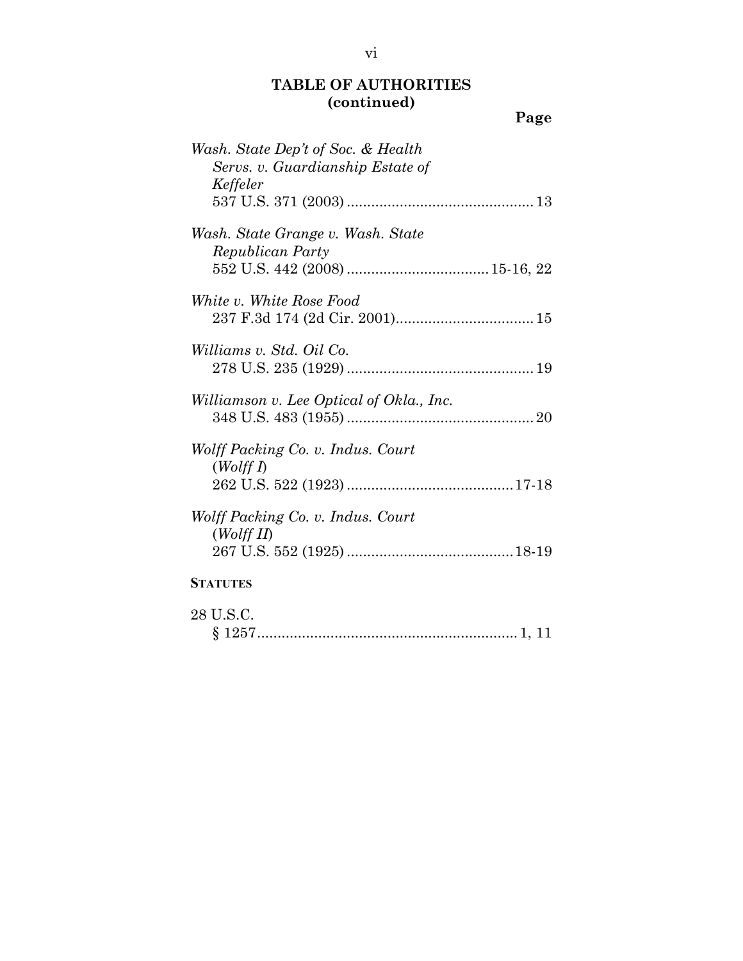| w<br>v |
|--------|
|--------|

| Wash. State Dep't of Soc. & Health<br>Servs. v. Guardianship Estate of<br>Keffeler |
|------------------------------------------------------------------------------------|
|                                                                                    |
| Wash. State Grange v. Wash. State<br>Republican Party                              |
|                                                                                    |
| White v. White Rose Food                                                           |
| Williams v. Std. Oil Co.                                                           |
| Williamson v. Lee Optical of Okla., Inc.                                           |
| Wolff Packing Co. v. Indus. Court<br>(WolffI)                                      |
|                                                                                    |
| Wolff Packing Co. v. Indus. Court<br>(Wolff II)                                    |
|                                                                                    |
| <b>STATUTES</b>                                                                    |
| 28 U.S.C.                                                                          |

§ 1257 ................................................................ 1, 11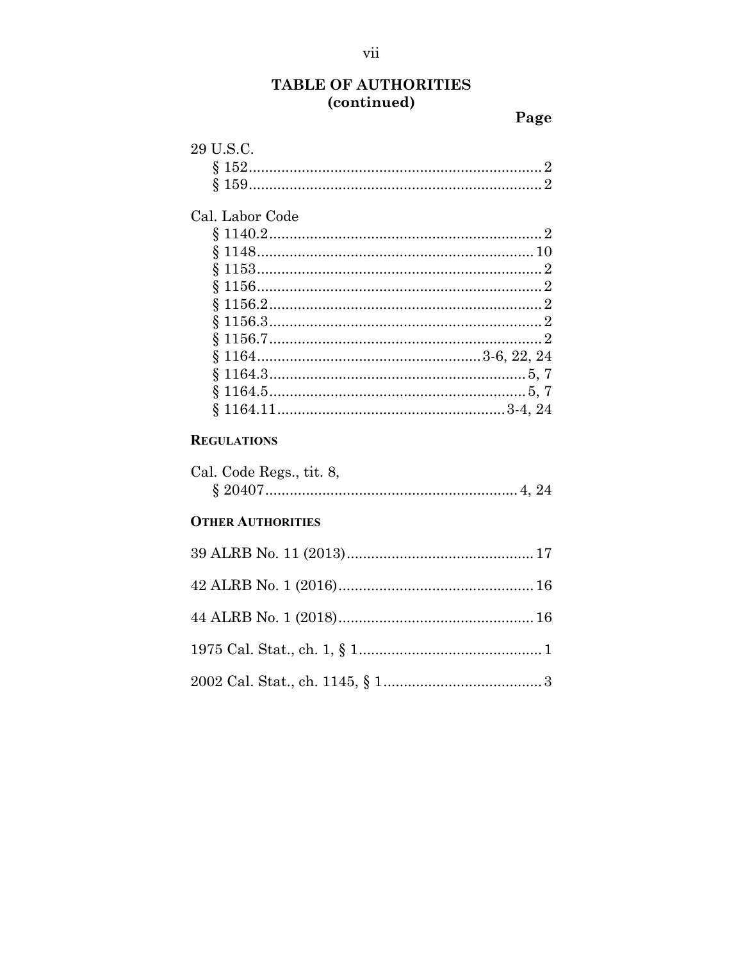Page

| 29 U.S.C.          |  |
|--------------------|--|
|                    |  |
|                    |  |
| Cal. Labor Code    |  |
|                    |  |
|                    |  |
|                    |  |
|                    |  |
|                    |  |
|                    |  |
|                    |  |
| $8^{\circ}$        |  |
| \$.                |  |
| §.                 |  |
| \$.                |  |
| <b>REGULATIONS</b> |  |

| Cal. Code Regs., tit. 8, |  |
|--------------------------|--|
|                          |  |

#### **OTHER AUTHORITIES**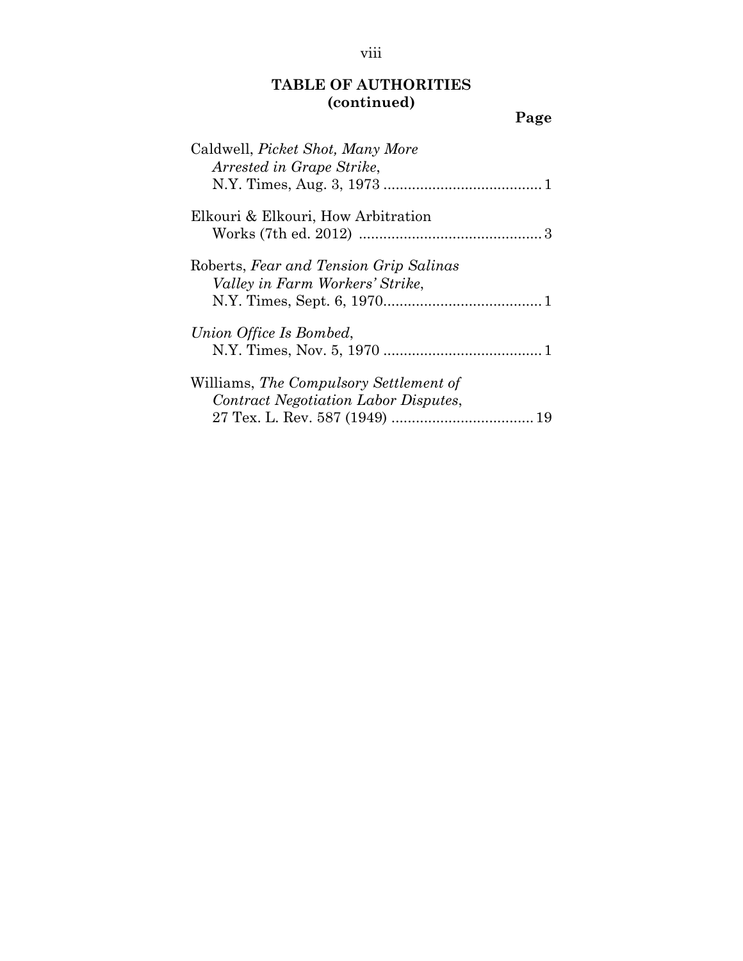| w<br>v |
|--------|
|--------|

| Caldwell, Picket Shot, Many More<br>Arrested in Grape Strike,                  |
|--------------------------------------------------------------------------------|
|                                                                                |
| Elkouri & Elkouri, How Arbitration                                             |
| Roberts, Fear and Tension Grip Salinas<br>Valley in Farm Workers' Strike,      |
| Union Office Is Bombed,                                                        |
| Williams, The Compulsory Settlement of<br>Contract Negotiation Labor Disputes, |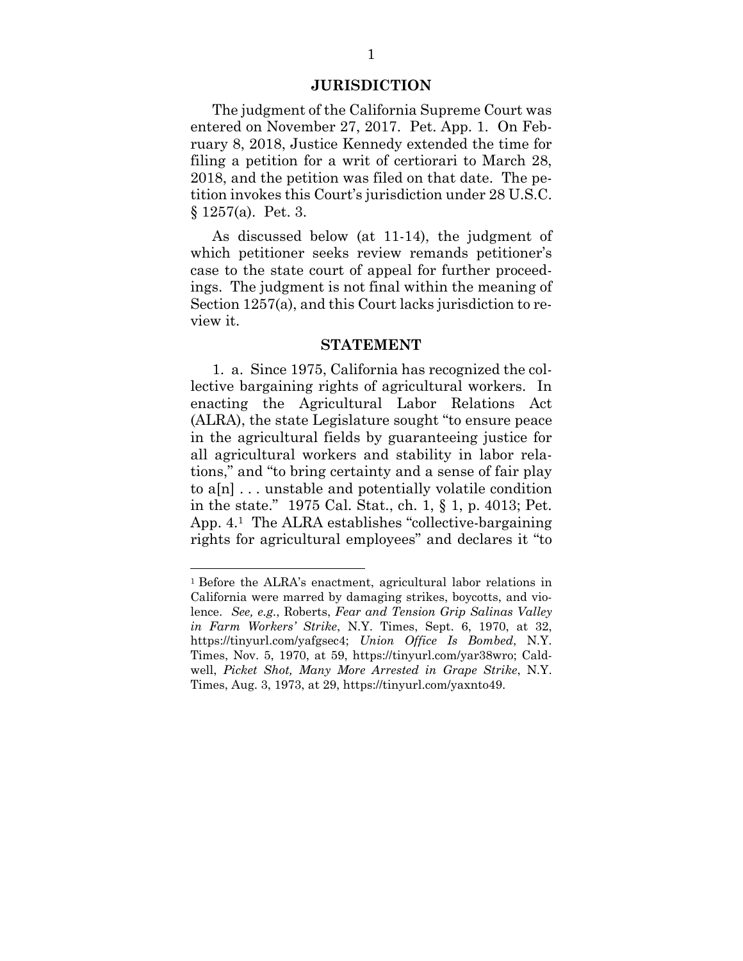#### **JURISDICTION**

The judgment of the California Supreme Court was entered on November 27, 2017. Pet. App. 1. On February 8, 2018, Justice Kennedy extended the time for filing a petition for a writ of certiorari to March 28, 2018, and the petition was filed on that date. The petition invokes this Court's jurisdiction under 28 U.S.C. § 1257(a). Pet. 3.

As discussed below (at 11-14), the judgment of which petitioner seeks review remands petitioner's case to the state court of appeal for further proceedings. The judgment is not final within the meaning of Section 1257(a), and this Court lacks jurisdiction to review it.

#### **STATEMENT**

1. a. Since 1975, California has recognized the collective bargaining rights of agricultural workers. In enacting the Agricultural Labor Relations Act (ALRA), the state Legislature sought "to ensure peace in the agricultural fields by guaranteeing justice for all agricultural workers and stability in labor relations," and "to bring certainty and a sense of fair play to a[n] . . . unstable and potentially volatile condition in the state." 1975 Cal. Stat., ch. 1, § 1, p. 4013; Pet. App. 4.1 The ALRA establishes "collective-bargaining rights for agricultural employees" and declares it "to

<sup>1</sup> Before the ALRA's enactment, agricultural labor relations in California were marred by damaging strikes, boycotts, and violence. *See, e.g.*, Roberts, *Fear and Tension Grip Salinas Valley in Farm Workers' Strike*, N.Y. Times, Sept. 6, 1970, at 32, https://tinyurl.com/yafgsec4; *Union Office Is Bombed*, N.Y. Times, Nov. 5, 1970, at 59, https://tinyurl.com/yar38wro; Caldwell, *Picket Shot, Many More Arrested in Grape Strike*, N.Y. Times, Aug. 3, 1973, at 29, https://tinyurl.com/yaxnto49.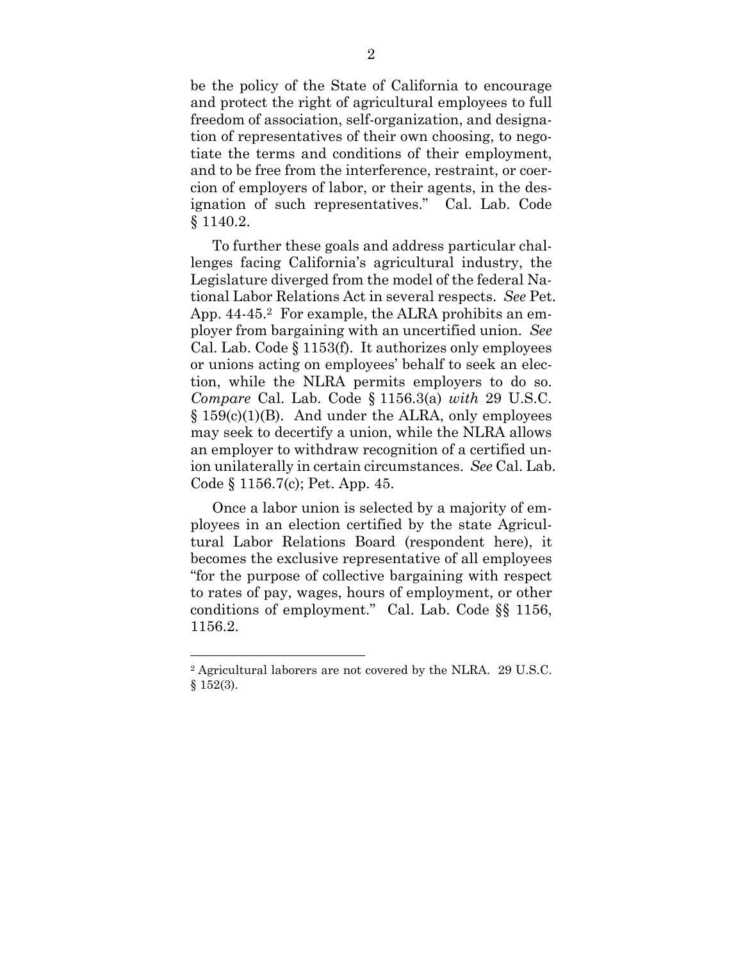be the policy of the State of California to encourage and protect the right of agricultural employees to full freedom of association, self-organization, and designation of representatives of their own choosing, to negotiate the terms and conditions of their employment, and to be free from the interference, restraint, or coercion of employers of labor, or their agents, in the designation of such representatives." Cal. Lab. Code § 1140.2.

To further these goals and address particular challenges facing California's agricultural industry, the Legislature diverged from the model of the federal National Labor Relations Act in several respects. *See* Pet. App. 44-45.<sup>2</sup> For example, the ALRA prohibits an employer from bargaining with an uncertified union. *See* Cal. Lab. Code § 1153(f). It authorizes only employees or unions acting on employees' behalf to seek an election, while the NLRA permits employers to do so. *Compare* Cal. Lab. Code § 1156.3(a) *with* 29 U.S.C.  $§ 159(c)(1)(B)$ . And under the ALRA, only employees may seek to decertify a union, while the NLRA allows an employer to withdraw recognition of a certified union unilaterally in certain circumstances. *See* Cal. Lab. Code § 1156.7(c); Pet. App. 45.

Once a labor union is selected by a majority of employees in an election certified by the state Agricultural Labor Relations Board (respondent here), it becomes the exclusive representative of all employees "for the purpose of collective bargaining with respect to rates of pay, wages, hours of employment, or other conditions of employment." Cal. Lab. Code §§ 1156, 1156.2.

<sup>2</sup> Agricultural laborers are not covered by the NLRA. 29 U.S.C.  $§ 152(3).$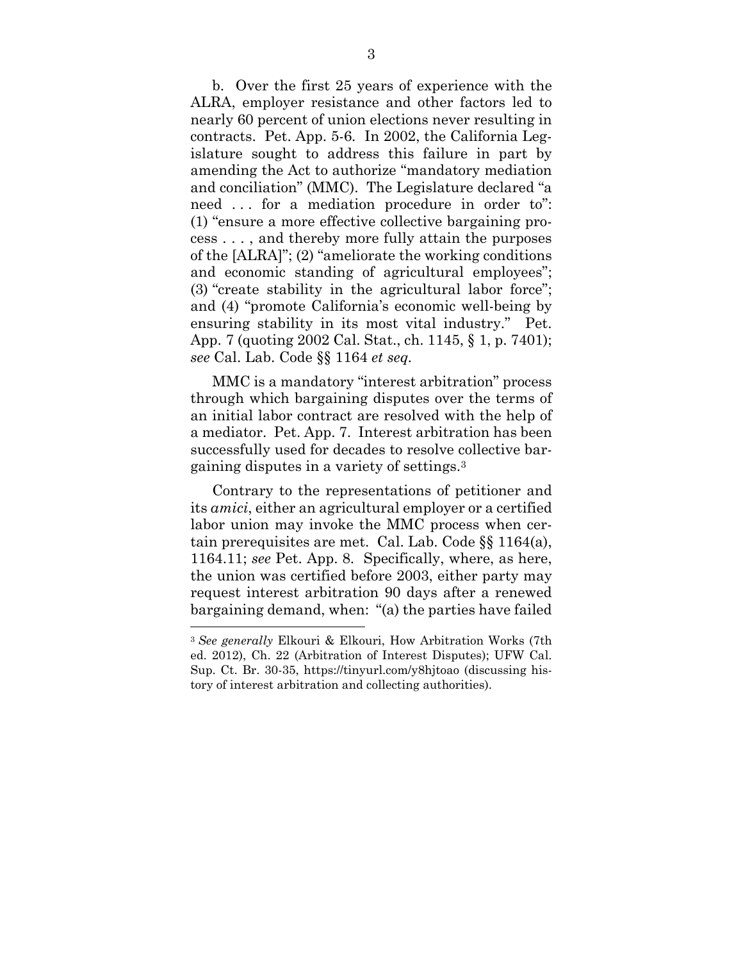b. Over the first 25 years of experience with the ALRA, employer resistance and other factors led to nearly 60 percent of union elections never resulting in contracts. Pet. App. 5-6*.* In 2002, the California Legislature sought to address this failure in part by amending the Act to authorize "mandatory mediation and conciliation" (MMC). The Legislature declared "a need . . . for a mediation procedure in order to": (1) "ensure a more effective collective bargaining process . . . , and thereby more fully attain the purposes of the [ALRA]"; (2) "ameliorate the working conditions and economic standing of agricultural employees"; (3) "create stability in the agricultural labor force"; and (4) "promote California's economic well-being by ensuring stability in its most vital industry." Pet. App. 7 (quoting 2002 Cal. Stat., ch. 1145, § 1, p. 7401); *see* Cal. Lab. Code §§ 1164 *et seq.*

MMC is a mandatory "interest arbitration" process through which bargaining disputes over the terms of an initial labor contract are resolved with the help of a mediator. Pet. App. 7. Interest arbitration has been successfully used for decades to resolve collective bargaining disputes in a variety of settings.3

Contrary to the representations of petitioner and its *amici*, either an agricultural employer or a certified labor union may invoke the MMC process when certain prerequisites are met. Cal. Lab. Code §§ 1164(a), 1164.11; *see* Pet. App. 8. Specifically, where, as here, the union was certified before 2003, either party may request interest arbitration 90 days after a renewed bargaining demand, when: "(a) the parties have failed  $\overline{a}$ 

<sup>3</sup> *See generally* Elkouri & Elkouri, How Arbitration Works (7th ed. 2012), Ch. 22 (Arbitration of Interest Disputes); UFW Cal. Sup. Ct. Br. 30-35, https://tinyurl.com/y8hjtoao (discussing history of interest arbitration and collecting authorities).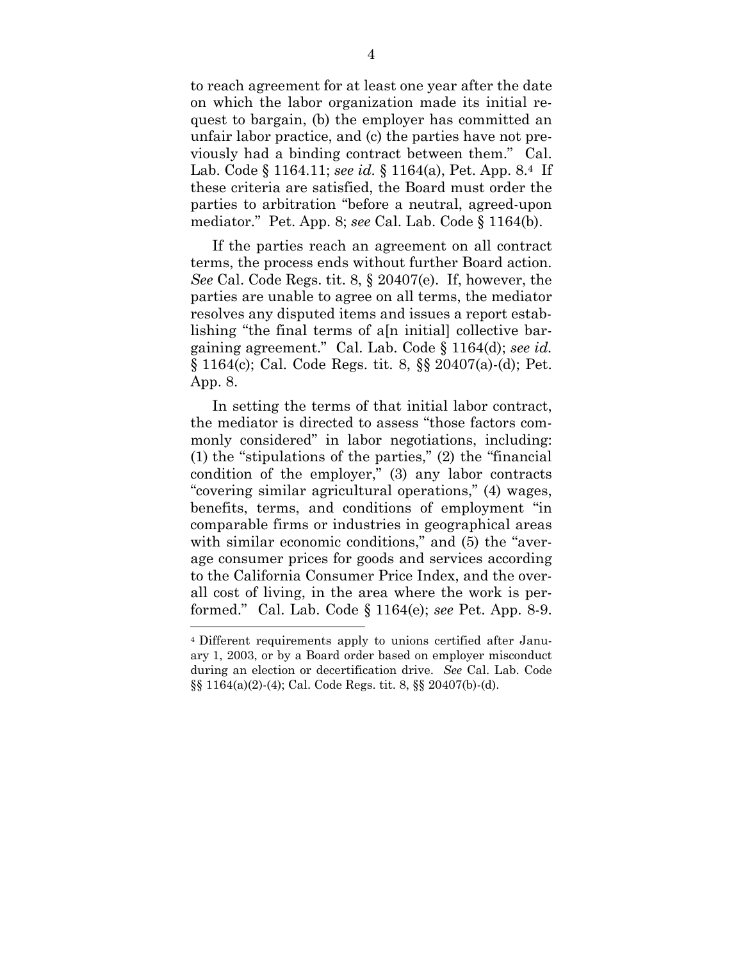to reach agreement for at least one year after the date on which the labor organization made its initial request to bargain, (b) the employer has committed an unfair labor practice, and (c) the parties have not previously had a binding contract between them." Cal. Lab. Code § 1164.11; *see id.* § 1164(a), Pet. App. 8.4 If these criteria are satisfied, the Board must order the parties to arbitration "before a neutral, agreed-upon mediator." Pet. App. 8; *see* Cal. Lab. Code § 1164(b).

If the parties reach an agreement on all contract terms, the process ends without further Board action. *See* Cal. Code Regs. tit. 8, § 20407(e). If, however, the parties are unable to agree on all terms, the mediator resolves any disputed items and issues a report establishing "the final terms of a[n initial] collective bargaining agreement." Cal. Lab. Code § 1164(d); *see id.*  § 1164(c); Cal. Code Regs. tit. 8, §§ 20407(a)-(d); Pet. App. 8.

In setting the terms of that initial labor contract, the mediator is directed to assess "those factors commonly considered" in labor negotiations, including: (1) the "stipulations of the parties," (2) the "financial condition of the employer," (3) any labor contracts "covering similar agricultural operations," (4) wages, benefits, terms, and conditions of employment "in comparable firms or industries in geographical areas with similar economic conditions," and  $(5)$  the "average consumer prices for goods and services according to the California Consumer Price Index, and the overall cost of living, in the area where the work is performed." Cal. Lab. Code § 1164(e); *see* Pet. App. 8-9.  $\overline{a}$ 

<sup>4</sup> Different requirements apply to unions certified after January 1, 2003, or by a Board order based on employer misconduct during an election or decertification drive. *See* Cal. Lab. Code §§ 1164(a)(2)-(4); Cal. Code Regs. tit. 8, §§ 20407(b)-(d).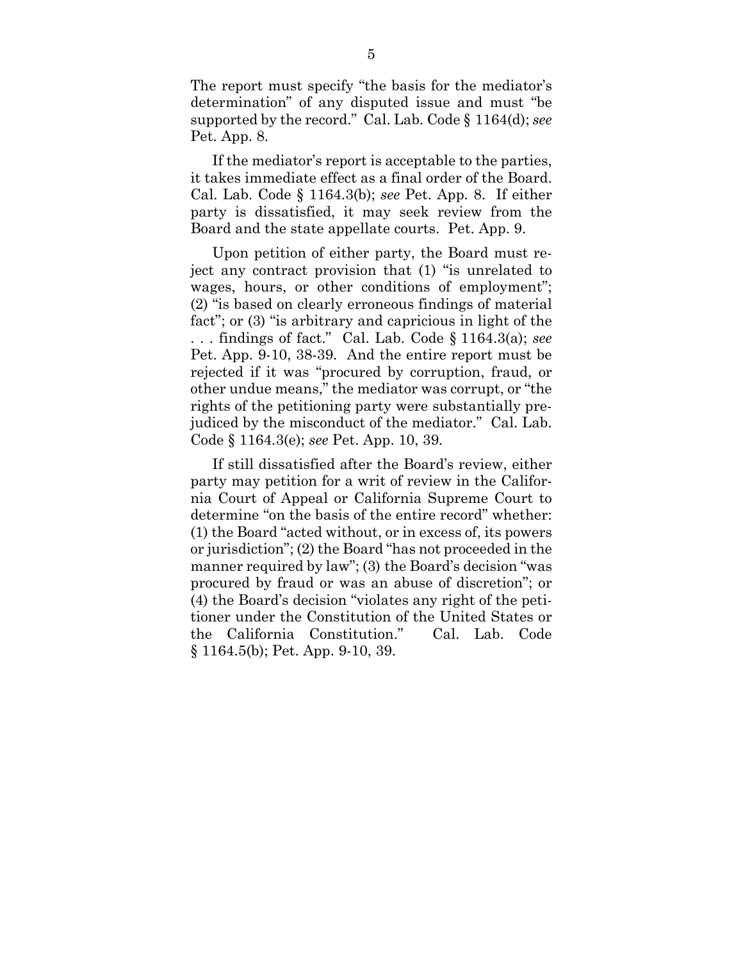The report must specify "the basis for the mediator's determination" of any disputed issue and must "be supported by the record." Cal. Lab. Code § 1164(d); *see* Pet. App. 8.

If the mediator's report is acceptable to the parties, it takes immediate effect as a final order of the Board. Cal. Lab. Code § 1164.3(b); *see* Pet. App. 8. If either party is dissatisfied, it may seek review from the Board and the state appellate courts. Pet. App. 9.

Upon petition of either party, the Board must reject any contract provision that (1) "is unrelated to wages, hours, or other conditions of employment"; (2) "is based on clearly erroneous findings of material fact"; or (3) "is arbitrary and capricious in light of the . . . findings of fact." Cal. Lab. Code § 1164.3(a); *see* Pet. App. 9-10, 38-39. And the entire report must be rejected if it was "procured by corruption, fraud, or other undue means," the mediator was corrupt, or "the rights of the petitioning party were substantially prejudiced by the misconduct of the mediator." Cal. Lab. Code § 1164.3(e); *see* Pet. App. 10, 39.

If still dissatisfied after the Board's review, either party may petition for a writ of review in the California Court of Appeal or California Supreme Court to determine "on the basis of the entire record" whether: (1) the Board "acted without, or in excess of, its powers or jurisdiction"; (2) the Board "has not proceeded in the manner required by law"; (3) the Board's decision "was procured by fraud or was an abuse of discretion"; or (4) the Board's decision "violates any right of the petitioner under the Constitution of the United States or the California Constitution." Cal. Lab. Code § 1164.5(b); Pet. App. 9-10, 39.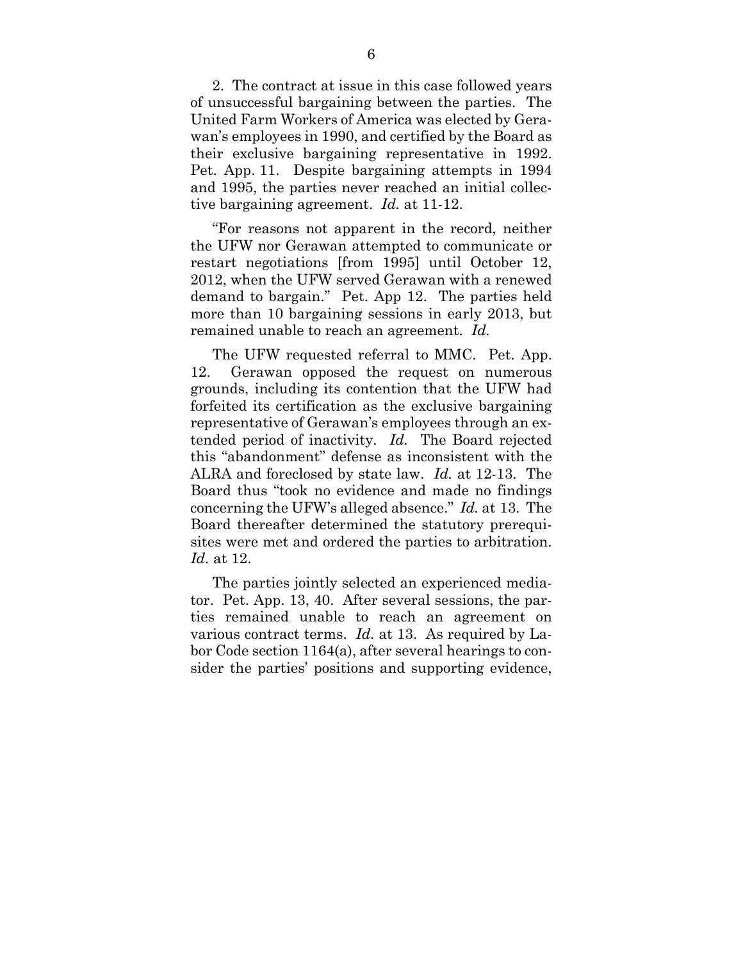2. The contract at issue in this case followed years of unsuccessful bargaining between the parties. The United Farm Workers of America was elected by Gerawan's employees in 1990, and certified by the Board as their exclusive bargaining representative in 1992. Pet. App. 11. Despite bargaining attempts in 1994 and 1995, the parties never reached an initial collective bargaining agreement. *Id.* at 11-12.

"For reasons not apparent in the record, neither the UFW nor Gerawan attempted to communicate or restart negotiations [from 1995] until October 12, 2012, when the UFW served Gerawan with a renewed demand to bargain." Pet. App 12. The parties held more than 10 bargaining sessions in early 2013, but remained unable to reach an agreement. *Id.*

The UFW requested referral to MMC. Pet. App. 12. Gerawan opposed the request on numerous grounds, including its contention that the UFW had forfeited its certification as the exclusive bargaining representative of Gerawan's employees through an extended period of inactivity. *Id.* The Board rejected this "abandonment" defense as inconsistent with the ALRA and foreclosed by state law. *Id.* at 12-13. The Board thus "took no evidence and made no findings concerning the UFW's alleged absence." *Id.* at 13. The Board thereafter determined the statutory prerequisites were met and ordered the parties to arbitration. *Id.* at 12.

The parties jointly selected an experienced mediator. Pet. App. 13, 40. After several sessions, the parties remained unable to reach an agreement on various contract terms. *Id.* at 13. As required by Labor Code section 1164(a), after several hearings to consider the parties' positions and supporting evidence,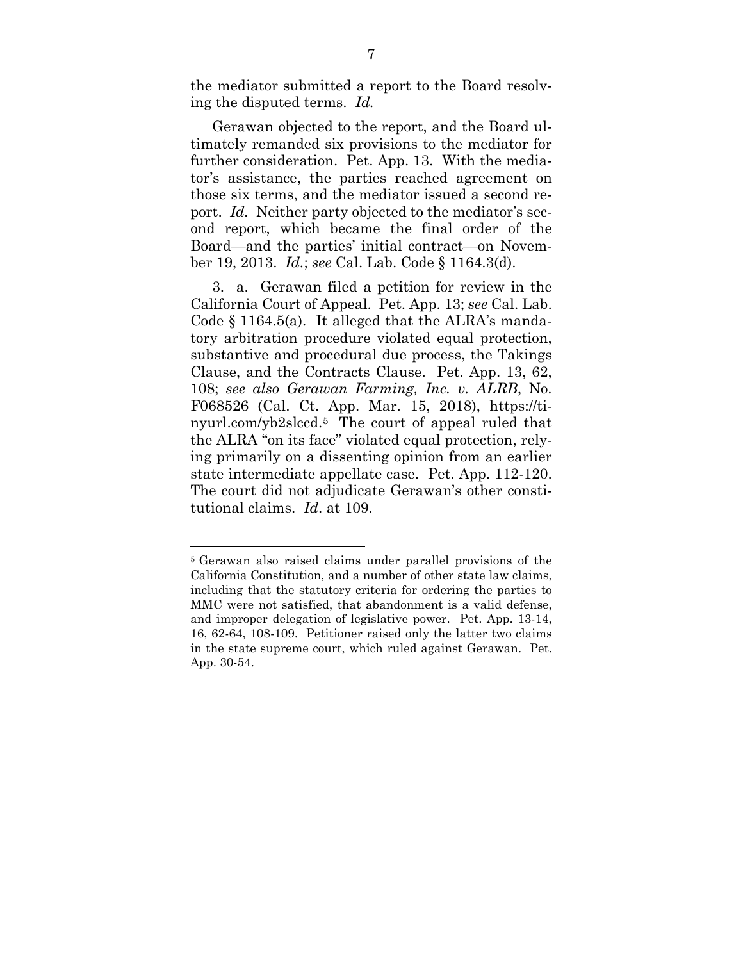the mediator submitted a report to the Board resolving the disputed terms. *Id.*

Gerawan objected to the report, and the Board ultimately remanded six provisions to the mediator for further consideration. Pet. App. 13. With the mediator's assistance, the parties reached agreement on those six terms, and the mediator issued a second report. *Id.* Neither party objected to the mediator's second report, which became the final order of the Board—and the parties' initial contract—on November 19, 2013. *Id.*; *see* Cal. Lab. Code § 1164.3(d).

3. a. Gerawan filed a petition for review in the California Court of Appeal. Pet. App. 13; *see* Cal. Lab. Code § 1164.5(a). It alleged that the ALRA's mandatory arbitration procedure violated equal protection, substantive and procedural due process, the Takings Clause, and the Contracts Clause. Pet. App. 13, 62, 108; *see also Gerawan Farming, Inc. v. ALRB*, No. F068526 (Cal. Ct. App. Mar. 15, 2018), https://tinyurl.com/yb2slccd.5 The court of appeal ruled that the ALRA "on its face" violated equal protection, relying primarily on a dissenting opinion from an earlier state intermediate appellate case. Pet. App. 112-120. The court did not adjudicate Gerawan's other constitutional claims. *Id*. at 109.

<sup>5</sup> Gerawan also raised claims under parallel provisions of the California Constitution, and a number of other state law claims, including that the statutory criteria for ordering the parties to MMC were not satisfied, that abandonment is a valid defense, and improper delegation of legislative power. Pet. App. 13-14, 16, 62-64, 108-109. Petitioner raised only the latter two claims in the state supreme court, which ruled against Gerawan. Pet. App. 30-54.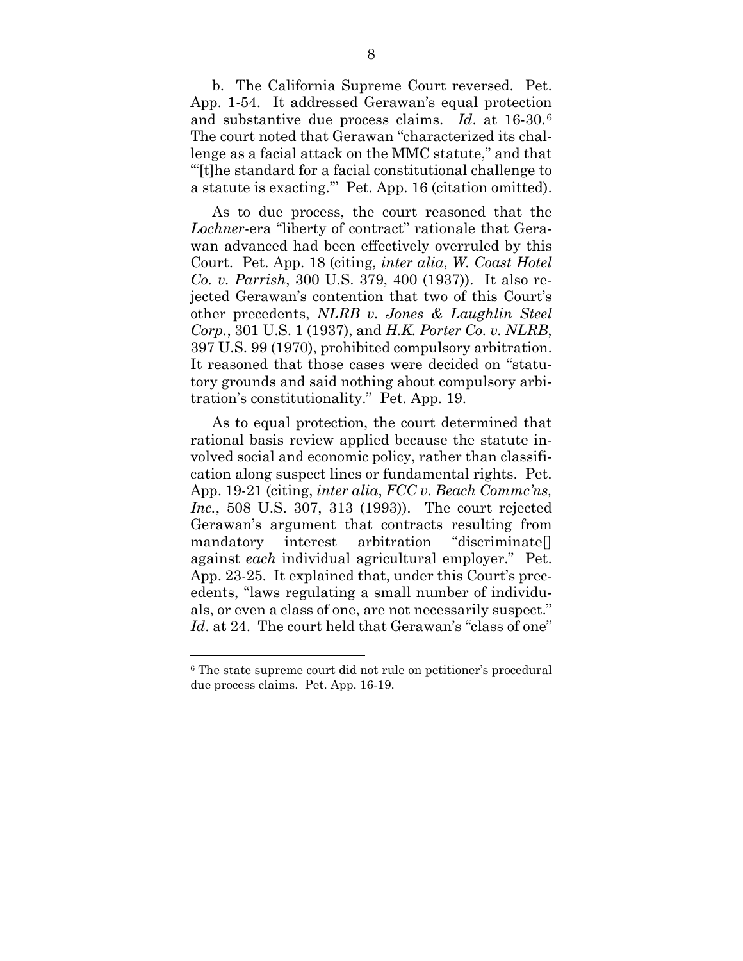b. The California Supreme Court reversed. Pet. App. 1-54. It addressed Gerawan's equal protection and substantive due process claims. *Id*. at 16-30.6 The court noted that Gerawan "characterized its challenge as a facial attack on the MMC statute," and that "'[t]he standard for a facial constitutional challenge to a statute is exacting.'" Pet. App. 16 (citation omitted).

As to due process, the court reasoned that the *Lochner*-era "liberty of contract" rationale that Gerawan advanced had been effectively overruled by this Court. Pet. App. 18 (citing, *inter alia*, *W. Coast Hotel Co. v. Parrish*, 300 U.S. 379, 400 (1937)). It also rejected Gerawan's contention that two of this Court's other precedents, *NLRB v. Jones & Laughlin Steel Corp.*, 301 U.S. 1 (1937), and *H.K. Porter Co. v. NLRB*, 397 U.S. 99 (1970), prohibited compulsory arbitration. It reasoned that those cases were decided on "statutory grounds and said nothing about compulsory arbitration's constitutionality." Pet. App. 19.

As to equal protection, the court determined that rational basis review applied because the statute involved social and economic policy, rather than classification along suspect lines or fundamental rights. Pet. App. 19-21 (citing, *inter alia*, *FCC v. Beach Commc'ns, Inc.*, 508 U.S. 307, 313 (1993)). The court rejected Gerawan's argument that contracts resulting from mandatory interest arbitration "discriminate[] against *each* individual agricultural employer." Pet. App. 23-25. It explained that, under this Court's precedents, "laws regulating a small number of individuals, or even a class of one, are not necessarily suspect." *Id*. at 24. The court held that Gerawan's "class of one"

<sup>6</sup> The state supreme court did not rule on petitioner's procedural due process claims. Pet. App. 16-19.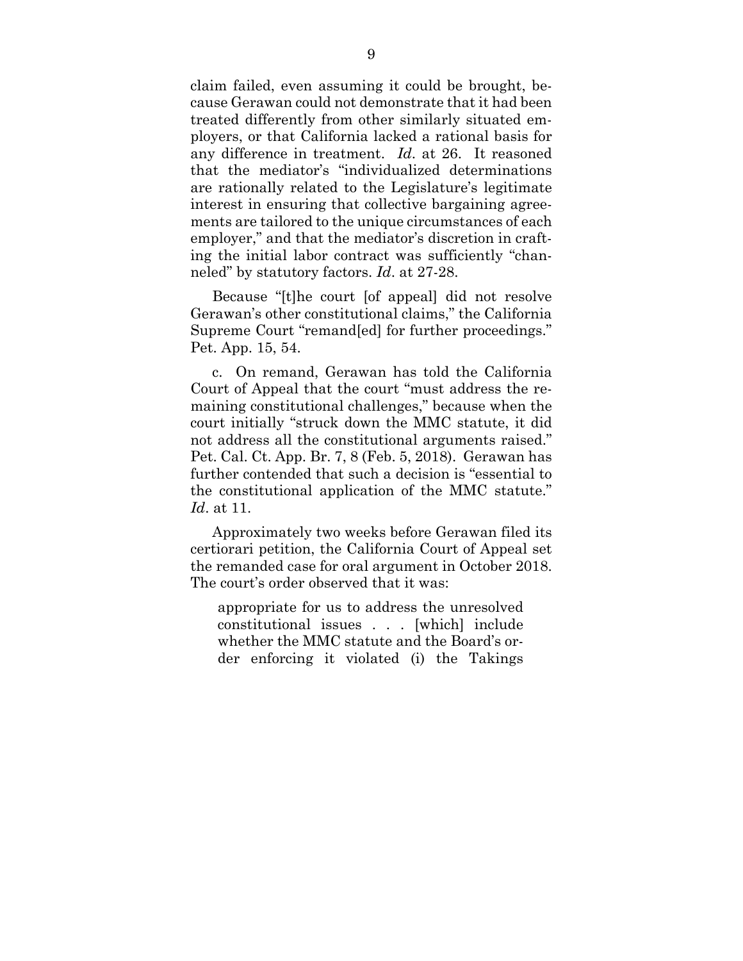claim failed, even assuming it could be brought, because Gerawan could not demonstrate that it had been treated differently from other similarly situated employers, or that California lacked a rational basis for any difference in treatment. *Id*. at 26. It reasoned that the mediator's "individualized determinations are rationally related to the Legislature's legitimate interest in ensuring that collective bargaining agreements are tailored to the unique circumstances of each employer," and that the mediator's discretion in crafting the initial labor contract was sufficiently "channeled" by statutory factors. *Id*. at 27-28.

Because "[t]he court [of appeal] did not resolve Gerawan's other constitutional claims," the California Supreme Court "remand[ed] for further proceedings." Pet. App. 15, 54.

c. On remand, Gerawan has told the California Court of Appeal that the court "must address the remaining constitutional challenges," because when the court initially "struck down the MMC statute, it did not address all the constitutional arguments raised." Pet. Cal. Ct. App. Br. 7, 8 (Feb. 5, 2018). Gerawan has further contended that such a decision is "essential to the constitutional application of the MMC statute." *Id*. at 11.

Approximately two weeks before Gerawan filed its certiorari petition, the California Court of Appeal set the remanded case for oral argument in October 2018. The court's order observed that it was:

appropriate for us to address the unresolved constitutional issues . . . [which] include whether the MMC statute and the Board's order enforcing it violated (i) the Takings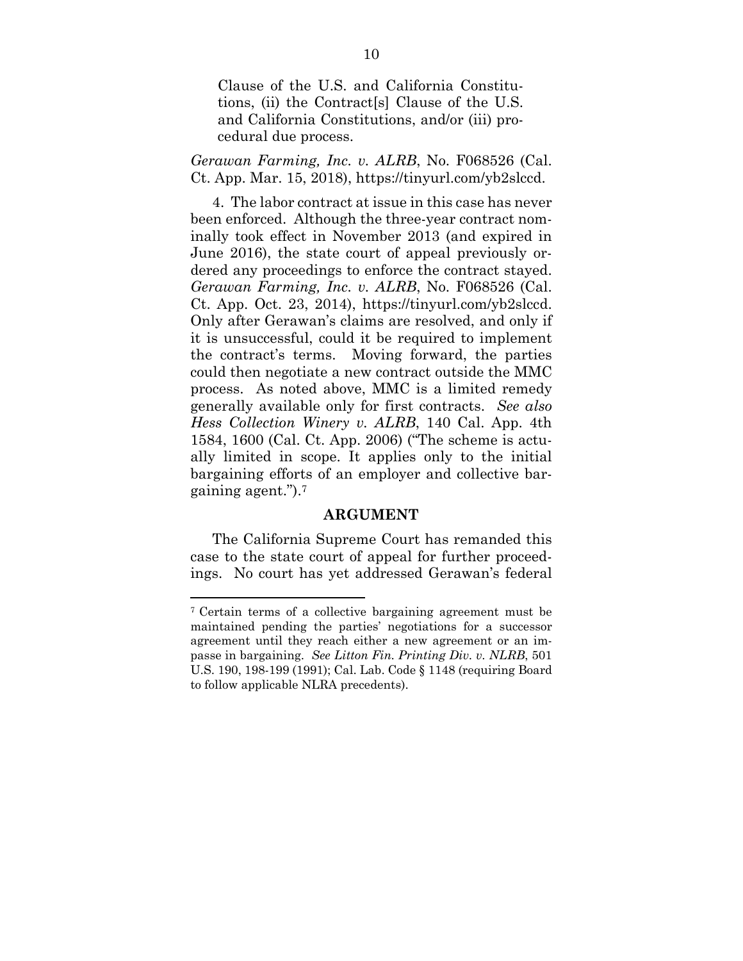Clause of the U.S. and California Constitutions, (ii) the Contract[s] Clause of the U.S. and California Constitutions, and/or (iii) procedural due process.

*Gerawan Farming, Inc. v. ALRB*, No. F068526 (Cal. Ct. App. Mar. 15, 2018), https://tinyurl.com/yb2slccd.

4. The labor contract at issue in this case has never been enforced. Although the three-year contract nominally took effect in November 2013 (and expired in June 2016), the state court of appeal previously ordered any proceedings to enforce the contract stayed. *Gerawan Farming, Inc. v. ALRB*, No. F068526 (Cal. Ct. App. Oct. 23, 2014), https://tinyurl.com/yb2slccd. Only after Gerawan's claims are resolved, and only if it is unsuccessful, could it be required to implement the contract's terms. Moving forward, the parties could then negotiate a new contract outside the MMC process. As noted above, MMC is a limited remedy generally available only for first contracts. *See also Hess Collection Winery v. ALRB*, 140 Cal. App. 4th 1584, 1600 (Cal. Ct. App. 2006) ("The scheme is actually limited in scope. It applies only to the initial bargaining efforts of an employer and collective bargaining agent.").7

#### **ARGUMENT**

The California Supreme Court has remanded this case to the state court of appeal for further proceedings. No court has yet addressed Gerawan's federal

<sup>7</sup> Certain terms of a collective bargaining agreement must be maintained pending the parties' negotiations for a successor agreement until they reach either a new agreement or an impasse in bargaining. *See Litton Fin. Printing Div. v. NLRB*, 501 U.S. 190, 198-199 (1991); Cal. Lab. Code § 1148 (requiring Board to follow applicable NLRA precedents).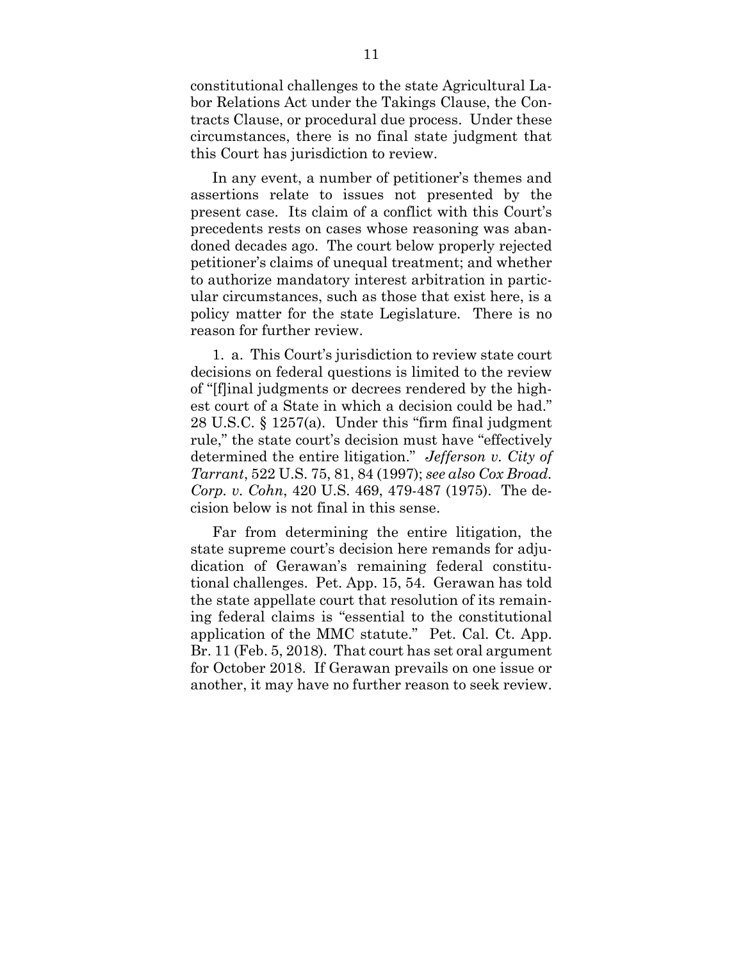constitutional challenges to the state Agricultural Labor Relations Act under the Takings Clause, the Contracts Clause, or procedural due process. Under these circumstances, there is no final state judgment that this Court has jurisdiction to review.

In any event, a number of petitioner's themes and assertions relate to issues not presented by the present case. Its claim of a conflict with this Court's precedents rests on cases whose reasoning was abandoned decades ago. The court below properly rejected petitioner's claims of unequal treatment; and whether to authorize mandatory interest arbitration in particular circumstances, such as those that exist here, is a policy matter for the state Legislature. There is no reason for further review.

1. a. This Court's jurisdiction to review state court decisions on federal questions is limited to the review of "[f]inal judgments or decrees rendered by the highest court of a State in which a decision could be had." 28 U.S.C. § 1257(a). Under this "firm final judgment rule," the state court's decision must have "effectively determined the entire litigation." *Jefferson v. City of Tarrant*, 522 U.S. 75, 81, 84 (1997); *see also Cox Broad. Corp. v. Cohn*, 420 U.S. 469, 479-487 (1975). The decision below is not final in this sense.

Far from determining the entire litigation, the state supreme court's decision here remands for adjudication of Gerawan's remaining federal constitutional challenges. Pet. App. 15, 54. Gerawan has told the state appellate court that resolution of its remaining federal claims is "essential to the constitutional application of the MMC statute." Pet. Cal. Ct. App. Br. 11 (Feb. 5, 2018). That court has set oral argument for October 2018. If Gerawan prevails on one issue or another, it may have no further reason to seek review.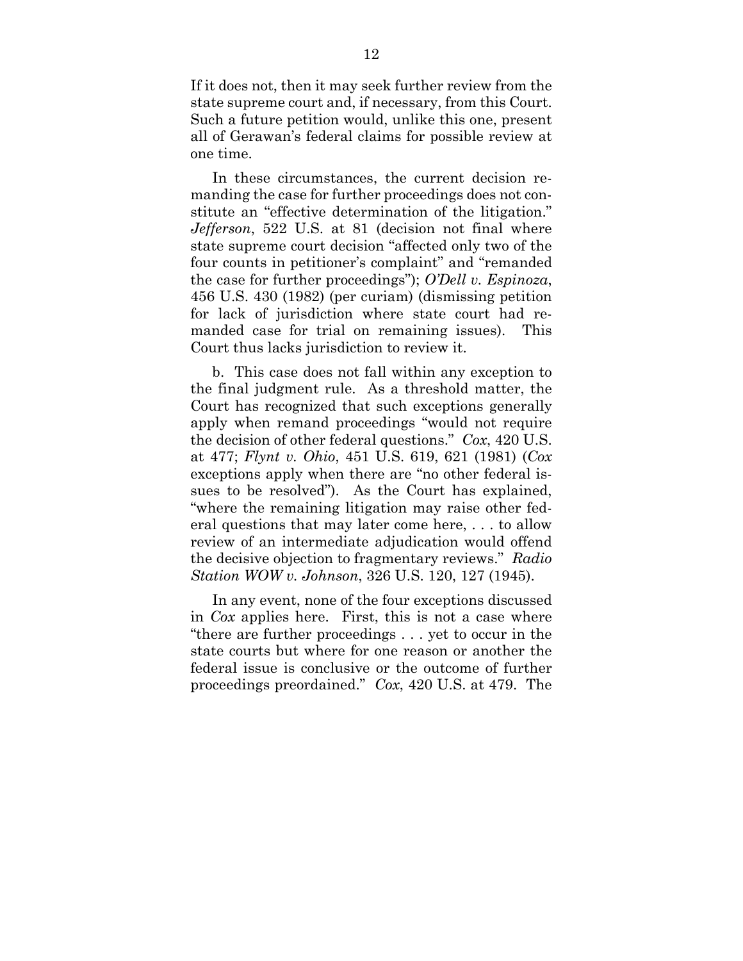If it does not, then it may seek further review from the state supreme court and, if necessary, from this Court. Such a future petition would, unlike this one, present all of Gerawan's federal claims for possible review at one time.

In these circumstances, the current decision remanding the case for further proceedings does not constitute an "effective determination of the litigation." *Jefferson*, 522 U.S. at 81 (decision not final where state supreme court decision "affected only two of the four counts in petitioner's complaint" and "remanded the case for further proceedings"); *O'Dell v. Espinoza*, 456 U.S. 430 (1982) (per curiam) (dismissing petition for lack of jurisdiction where state court had remanded case for trial on remaining issues). This Court thus lacks jurisdiction to review it.

b. This case does not fall within any exception to the final judgment rule. As a threshold matter, the Court has recognized that such exceptions generally apply when remand proceedings "would not require the decision of other federal questions." *Cox*, 420 U.S. at 477; *Flynt v. Ohio*, 451 U.S. 619, 621 (1981) (*Cox* exceptions apply when there are "no other federal issues to be resolved"). As the Court has explained, "where the remaining litigation may raise other federal questions that may later come here, . . . to allow review of an intermediate adjudication would offend the decisive objection to fragmentary reviews." *Radio Station WOW v. Johnson*, 326 U.S. 120, 127 (1945).

In any event, none of the four exceptions discussed in *Cox* applies here. First, this is not a case where "there are further proceedings . . . yet to occur in the state courts but where for one reason or another the federal issue is conclusive or the outcome of further proceedings preordained." *Cox*, 420 U.S. at 479. The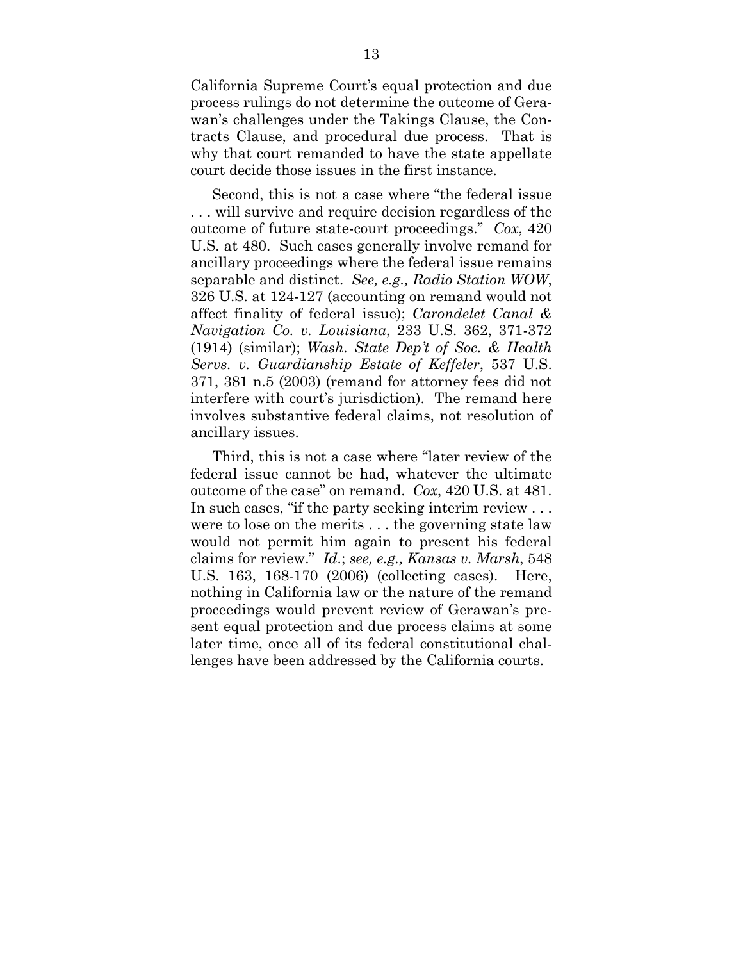California Supreme Court's equal protection and due process rulings do not determine the outcome of Gerawan's challenges under the Takings Clause, the Contracts Clause, and procedural due process. That is why that court remanded to have the state appellate court decide those issues in the first instance.

Second, this is not a case where "the federal issue . . . will survive and require decision regardless of the outcome of future state-court proceedings." *Cox*, 420 U.S. at 480. Such cases generally involve remand for ancillary proceedings where the federal issue remains separable and distinct. *See, e.g., Radio Station WOW*, 326 U.S. at 124-127 (accounting on remand would not affect finality of federal issue); *Carondelet Canal & Navigation Co. v. Louisiana*, 233 U.S. 362, 371-372 (1914) (similar); *Wash. State Dep't of Soc. & Health Servs. v. Guardianship Estate of Keffeler*, 537 U.S. 371, 381 n.5 (2003) (remand for attorney fees did not interfere with court's jurisdiction). The remand here involves substantive federal claims, not resolution of ancillary issues.

Third, this is not a case where "later review of the federal issue cannot be had, whatever the ultimate outcome of the case" on remand. *Cox*, 420 U.S. at 481. In such cases, "if the party seeking interim review . . . were to lose on the merits . . . the governing state law would not permit him again to present his federal claims for review." *Id*.; *see, e.g., Kansas v. Marsh*, 548 U.S. 163, 168-170 (2006) (collecting cases). Here, nothing in California law or the nature of the remand proceedings would prevent review of Gerawan's present equal protection and due process claims at some later time, once all of its federal constitutional challenges have been addressed by the California courts.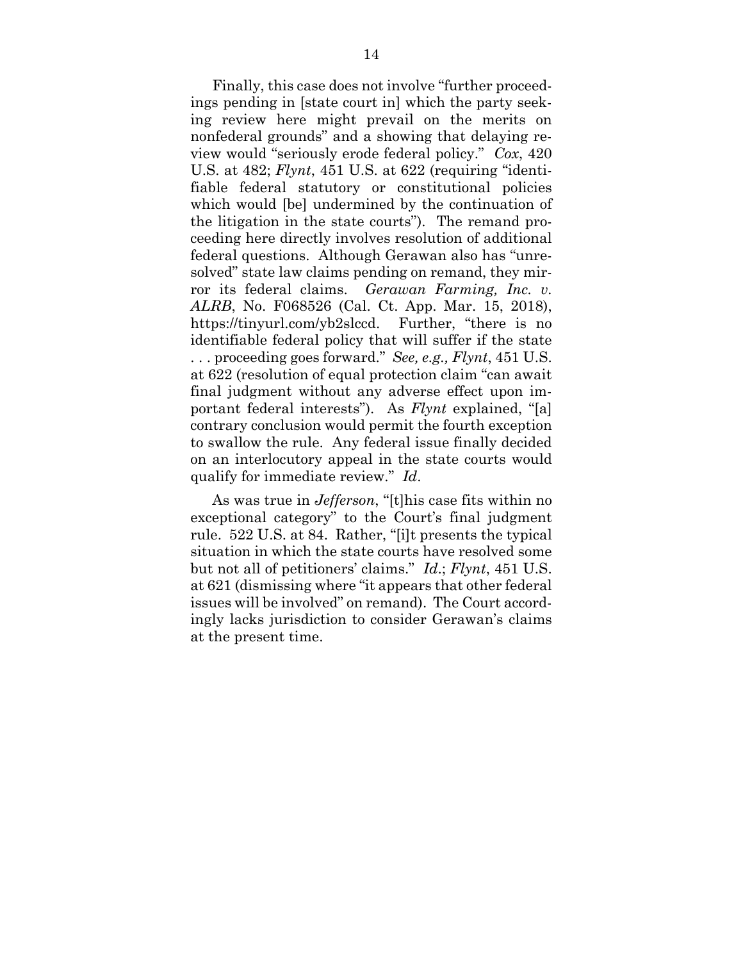Finally, this case does not involve "further proceedings pending in [state court in] which the party seeking review here might prevail on the merits on nonfederal grounds" and a showing that delaying review would "seriously erode federal policy." *Cox*, 420 U.S. at 482; *Flynt*, 451 U.S. at 622 (requiring "identifiable federal statutory or constitutional policies which would [be] undermined by the continuation of the litigation in the state courts"). The remand proceeding here directly involves resolution of additional federal questions. Although Gerawan also has "unresolved" state law claims pending on remand, they mirror its federal claims. *Gerawan Farming, Inc. v. ALRB*, No. F068526 (Cal. Ct. App. Mar. 15, 2018), https://tinyurl.com/yb2slccd. Further, "there is no identifiable federal policy that will suffer if the state . . . proceeding goes forward." *See, e.g., Flynt*, 451 U.S. at 622 (resolution of equal protection claim "can await final judgment without any adverse effect upon important federal interests"). As *Flynt* explained, "[a] contrary conclusion would permit the fourth exception to swallow the rule. Any federal issue finally decided on an interlocutory appeal in the state courts would qualify for immediate review." *Id*.

As was true in *Jefferson*, "[t]his case fits within no exceptional category" to the Court's final judgment rule. 522 U.S. at 84. Rather, "[i]t presents the typical situation in which the state courts have resolved some but not all of petitioners' claims." *Id*.; *Flynt*, 451 U.S. at 621 (dismissing where "it appears that other federal issues will be involved" on remand). The Court accordingly lacks jurisdiction to consider Gerawan's claims at the present time.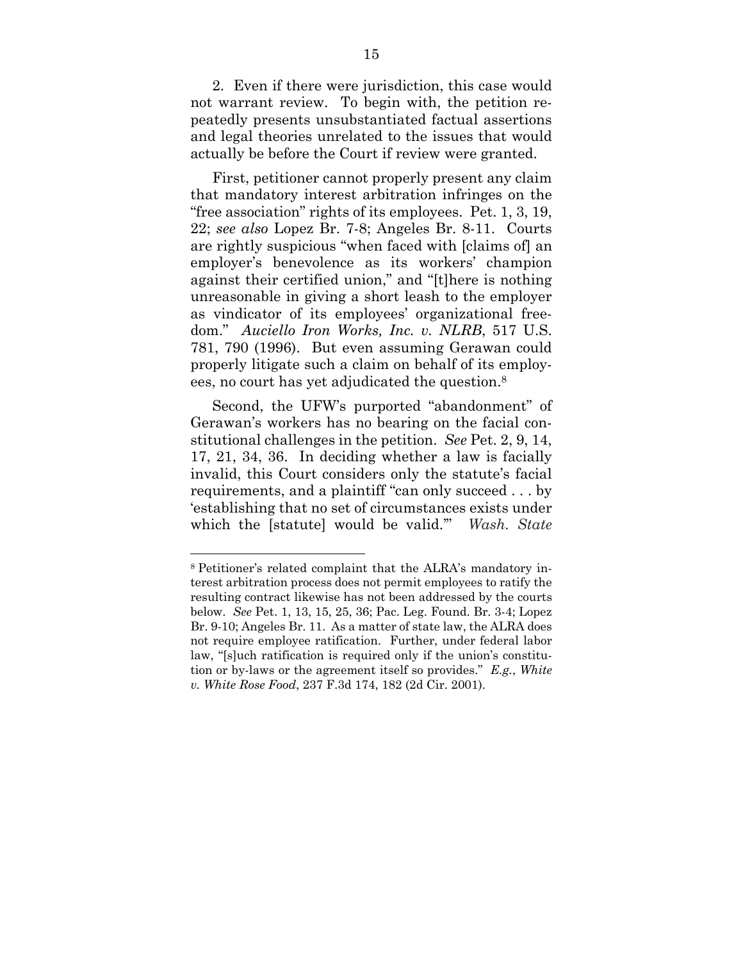2. Even if there were jurisdiction, this case would not warrant review. To begin with, the petition repeatedly presents unsubstantiated factual assertions and legal theories unrelated to the issues that would actually be before the Court if review were granted.

First, petitioner cannot properly present any claim that mandatory interest arbitration infringes on the "free association" rights of its employees. Pet. 1, 3, 19, 22; *see also* Lopez Br. 7-8; Angeles Br. 8-11. Courts are rightly suspicious "when faced with [claims of] an employer's benevolence as its workers' champion against their certified union," and "[t]here is nothing unreasonable in giving a short leash to the employer as vindicator of its employees' organizational freedom." *Auciello Iron Works, Inc. v. NLRB*, 517 U.S. 781, 790 (1996). But even assuming Gerawan could properly litigate such a claim on behalf of its employees, no court has yet adjudicated the question.8

Second, the UFW's purported "abandonment" of Gerawan's workers has no bearing on the facial constitutional challenges in the petition. *See* Pet. 2, 9, 14, 17, 21, 34, 36. In deciding whether a law is facially invalid, this Court considers only the statute's facial requirements, and a plaintiff "can only succeed . . . by 'establishing that no set of circumstances exists under which the [statute] would be valid.'" *Wash. State* 

<sup>8</sup> Petitioner's related complaint that the ALRA's mandatory interest arbitration process does not permit employees to ratify the resulting contract likewise has not been addressed by the courts below. *See* Pet. 1, 13, 15, 25, 36; Pac. Leg. Found. Br. 3-4; Lopez Br. 9-10; Angeles Br. 11. As a matter of state law, the ALRA does not require employee ratification. Further, under federal labor law, "[s]uch ratification is required only if the union's constitution or by-laws or the agreement itself so provides." *E.g.*, *White v. White Rose Food*, 237 F.3d 174, 182 (2d Cir. 2001).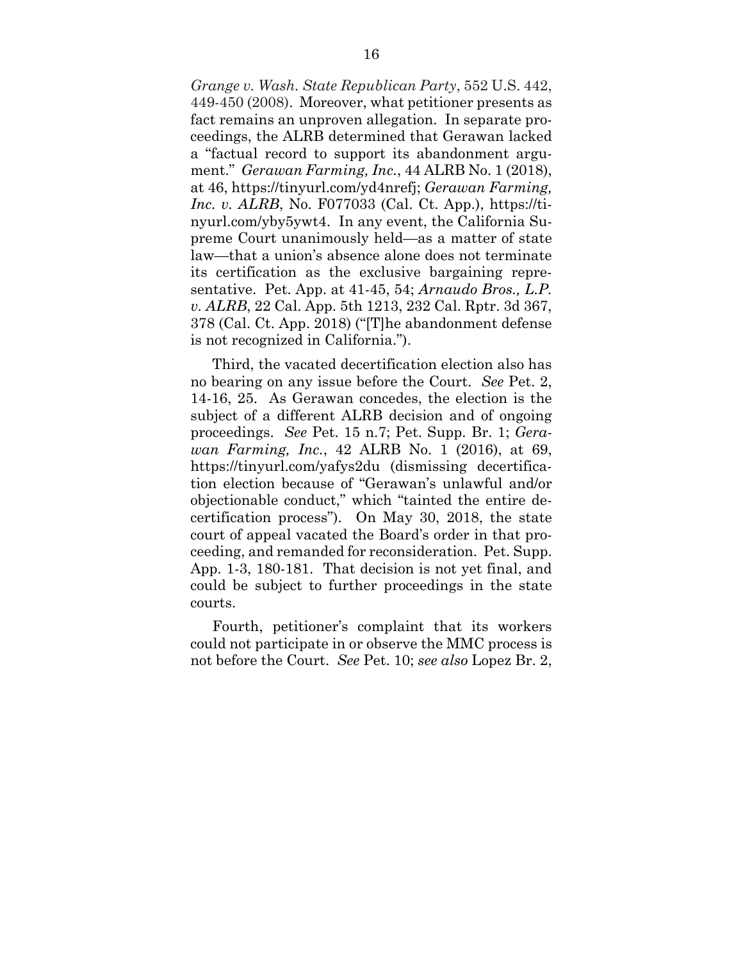*Grange v. Wash. State Republican Party*, 552 U.S. 442, 449-450 (2008). Moreover, what petitioner presents as fact remains an unproven allegation. In separate proceedings, the ALRB determined that Gerawan lacked a "factual record to support its abandonment argument." *Gerawan Farming, Inc.*, 44 ALRB No. 1 (2018), at 46, https://tinyurl.com/yd4nrefj; *Gerawan Farming, Inc. v. ALRB*, No. F077033 (Cal. Ct. App.), https://tinyurl.com/yby5ywt4. In any event, the California Supreme Court unanimously held—as a matter of state law—that a union's absence alone does not terminate its certification as the exclusive bargaining representative. Pet. App. at 41-45, 54; *Arnaudo Bros., L.P. v. ALRB*, 22 Cal. App. 5th 1213, 232 Cal. Rptr. 3d 367, 378 (Cal. Ct. App. 2018) ("[T]he abandonment defense is not recognized in California.").

Third, the vacated decertification election also has no bearing on any issue before the Court. *See* Pet. 2, 14-16, 25. As Gerawan concedes, the election is the subject of a different ALRB decision and of ongoing proceedings. *See* Pet. 15 n.7; Pet. Supp. Br. 1; *Gerawan Farming, Inc.*, 42 ALRB No. 1 (2016), at 69, https://tinyurl.com/yafys2du (dismissing decertification election because of "Gerawan's unlawful and/or objectionable conduct," which "tainted the entire decertification process"). On May 30, 2018, the state court of appeal vacated the Board's order in that proceeding, and remanded for reconsideration. Pet. Supp. App. 1-3, 180-181. That decision is not yet final, and could be subject to further proceedings in the state courts.

Fourth, petitioner's complaint that its workers could not participate in or observe the MMC process is not before the Court. *See* Pet. 10; *see also* Lopez Br. 2,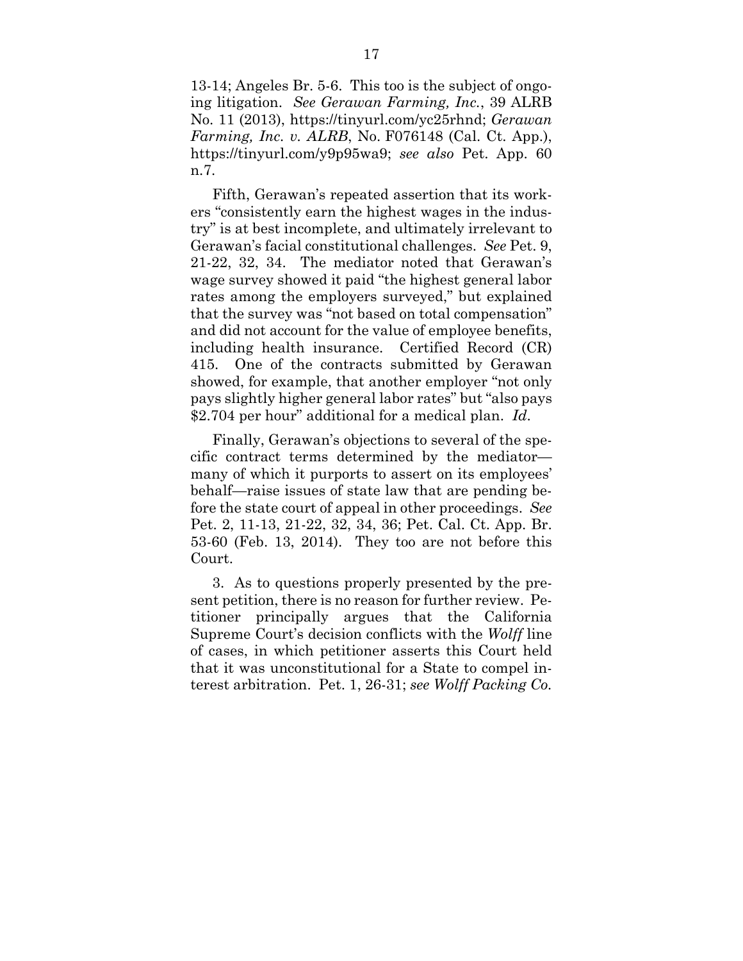13-14; Angeles Br. 5-6. This too is the subject of ongoing litigation. *See Gerawan Farming, Inc.*, 39 ALRB No. 11 (2013), https://tinyurl.com/yc25rhnd; *Gerawan Farming, Inc. v. ALRB*, No. F076148 (Cal. Ct. App.), https://tinyurl.com/y9p95wa9; *see also* Pet. App. 60 n.7.

Fifth, Gerawan's repeated assertion that its workers "consistently earn the highest wages in the industry" is at best incomplete, and ultimately irrelevant to Gerawan's facial constitutional challenges. *See* Pet. 9, 21-22, 32, 34. The mediator noted that Gerawan's wage survey showed it paid "the highest general labor rates among the employers surveyed," but explained that the survey was "not based on total compensation" and did not account for the value of employee benefits, including health insurance. Certified Record (CR) 415. One of the contracts submitted by Gerawan showed, for example, that another employer "not only pays slightly higher general labor rates" but "also pays \$2.704 per hour" additional for a medical plan. *Id*.

Finally, Gerawan's objections to several of the specific contract terms determined by the mediator many of which it purports to assert on its employees' behalf—raise issues of state law that are pending before the state court of appeal in other proceedings. *See* Pet. 2, 11-13, 21-22, 32, 34, 36; Pet. Cal. Ct. App. Br. 53-60 (Feb. 13, 2014). They too are not before this Court.

3. As to questions properly presented by the present petition, there is no reason for further review. Petitioner principally argues that the California Supreme Court's decision conflicts with the *Wolff* line of cases, in which petitioner asserts this Court held that it was unconstitutional for a State to compel interest arbitration. Pet. 1, 26-31; *see Wolff Packing Co.*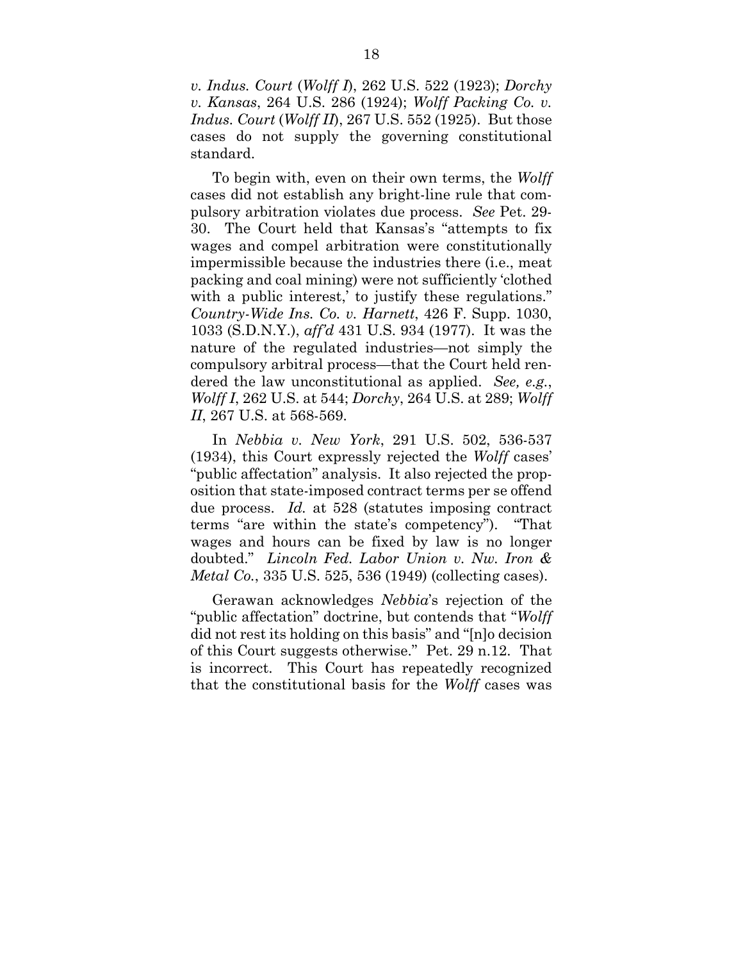*v. Indus. Court* (*Wolff I*), 262 U.S. 522 (1923); *Dorchy v. Kansas*, 264 U.S. 286 (1924); *Wolff Packing Co. v. Indus. Court* (*Wolff II*), 267 U.S. 552 (1925). But those cases do not supply the governing constitutional standard.

To begin with, even on their own terms, the *Wolff* cases did not establish any bright-line rule that compulsory arbitration violates due process. *See* Pet. 29- 30. The Court held that Kansas's "attempts to fix wages and compel arbitration were constitutionally impermissible because the industries there (i.e., meat packing and coal mining) were not sufficiently 'clothed with a public interest,' to justify these regulations." *Country-Wide Ins. Co. v. Harnett*, 426 F. Supp. 1030, 1033 (S.D.N.Y.), *aff'd* 431 U.S. 934 (1977). It was the nature of the regulated industries—not simply the compulsory arbitral process—that the Court held rendered the law unconstitutional as applied. *See, e.g.*, *Wolff I*, 262 U.S. at 544; *Dorchy*, 264 U.S. at 289; *Wolff II*, 267 U.S. at 568-569.

In *Nebbia v. New York*, 291 U.S. 502, 536-537 (1934), this Court expressly rejected the *Wolff* cases' "public affectation" analysis. It also rejected the proposition that state-imposed contract terms per se offend due process. *Id.* at 528 (statutes imposing contract terms "are within the state's competency"). "That wages and hours can be fixed by law is no longer doubted." *Lincoln Fed. Labor Union v. Nw. Iron & Metal Co.*, 335 U.S. 525, 536 (1949) (collecting cases).

Gerawan acknowledges *Nebbia*'s rejection of the "public affectation" doctrine, but contends that "*Wolff* did not rest its holding on this basis" and "[n]o decision of this Court suggests otherwise." Pet. 29 n.12. That is incorrect. This Court has repeatedly recognized that the constitutional basis for the *Wolff* cases was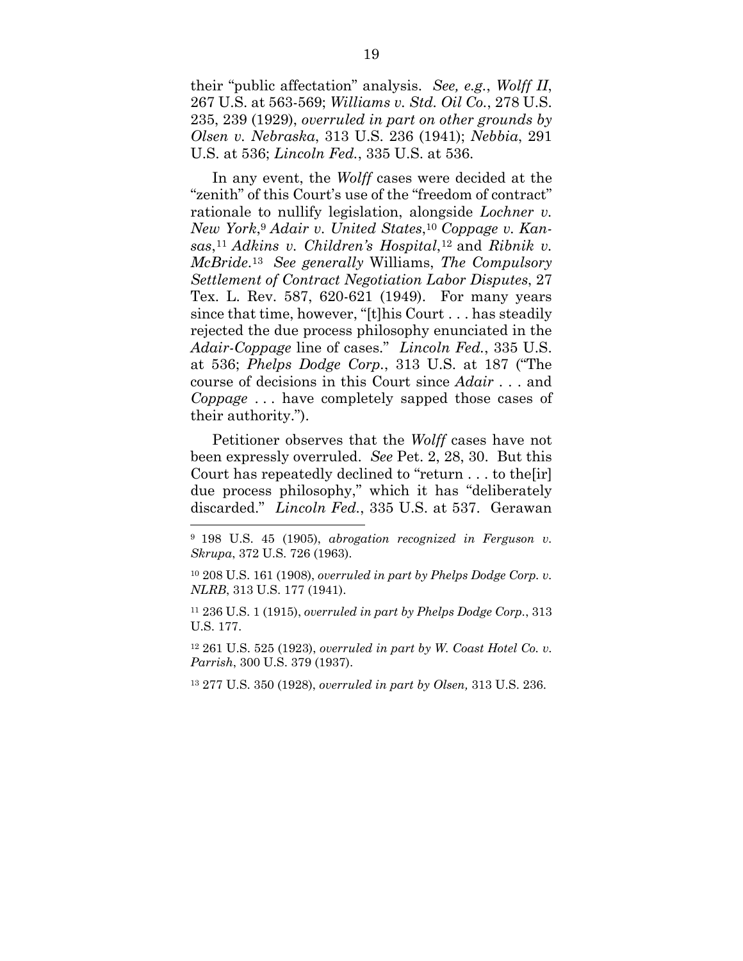their "public affectation" analysis. *See, e.g.*, *Wolff II*, 267 U.S. at 563-569; *Williams v. Std. Oil Co.*, 278 U.S. 235, 239 (1929), *overruled in part on other grounds by Olsen v. Nebraska*, 313 U.S. 236 (1941); *Nebbia*, 291 U.S. at 536; *Lincoln Fed.*, 335 U.S. at 536.

In any event, the *Wolff* cases were decided at the "zenith" of this Court's use of the "freedom of contract" rationale to nullify legislation, alongside *Lochner v. New York*,9 *Adair v. United States*,10 *Coppage v. Kansas*,11 *Adkins v. Children's Hospital*,12 and *Ribnik v. McBride*.13 *See generally* Williams, *The Compulsory Settlement of Contract Negotiation Labor Disputes*, 27 Tex. L. Rev. 587, 620-621 (1949). For many years since that time, however, "[t]his Court . . . has steadily rejected the due process philosophy enunciated in the *Adair-Coppage* line of cases." *Lincoln Fed.*, 335 U.S. at 536; *Phelps Dodge Corp.*, 313 U.S. at 187 ("The course of decisions in this Court since *Adair* . . . and *Coppage* . . . have completely sapped those cases of their authority.").

Petitioner observes that the *Wolff* cases have not been expressly overruled. *See* Pet. 2, 28, 30. But this Court has repeatedly declined to "return . . . to the[ir] due process philosophy," which it has "deliberately discarded." *Lincoln Fed.*, 335 U.S. at 537. Gerawan  $\overline{a}$ 

11 236 U.S. 1 (1915), *overruled in part by Phelps Dodge Corp.*, 313 U.S. 177.

12 261 U.S. 525 (1923), *overruled in part by W. Coast Hotel Co. v. Parrish*, 300 U.S. 379 (1937).

13 277 U.S. 350 (1928), *overruled in part by Olsen,* 313 U.S. 236.

<sup>9 198</sup> U.S. 45 (1905), *abrogation recognized in Ferguson v. Skrupa*, 372 U.S. 726 (1963).

<sup>10 208</sup> U.S. 161 (1908), *overruled in part by Phelps Dodge Corp. v. NLRB*, 313 U.S. 177 (1941).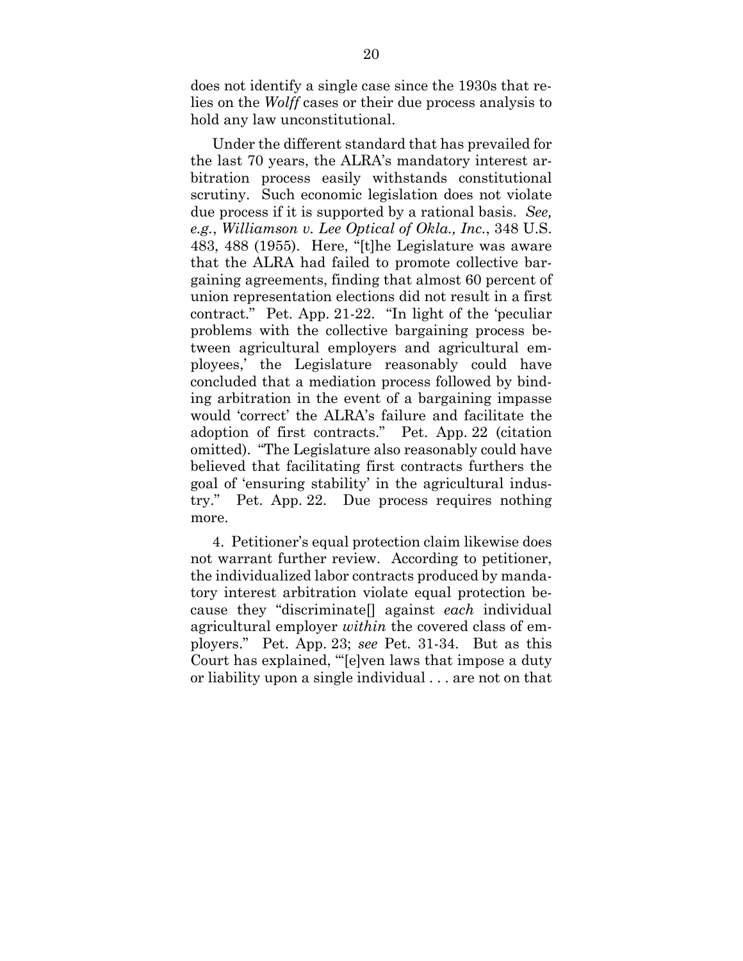does not identify a single case since the 1930s that relies on the *Wolff* cases or their due process analysis to hold any law unconstitutional.

Under the different standard that has prevailed for the last 70 years, the ALRA's mandatory interest arbitration process easily withstands constitutional scrutiny. Such economic legislation does not violate due process if it is supported by a rational basis. *See, e.g.*, *Williamson v. Lee Optical of Okla., Inc.*, 348 U.S. 483, 488 (1955). Here, "[t]he Legislature was aware that the ALRA had failed to promote collective bargaining agreements, finding that almost 60 percent of union representation elections did not result in a first contract." Pet. App. 21-22. "In light of the 'peculiar problems with the collective bargaining process between agricultural employers and agricultural employees,' the Legislature reasonably could have concluded that a mediation process followed by binding arbitration in the event of a bargaining impasse would 'correct' the ALRA's failure and facilitate the adoption of first contracts." Pet. App. 22 (citation omitted). "The Legislature also reasonably could have believed that facilitating first contracts furthers the goal of 'ensuring stability' in the agricultural industry." Pet. App. 22. Due process requires nothing more.

4. Petitioner's equal protection claim likewise does not warrant further review. According to petitioner, the individualized labor contracts produced by mandatory interest arbitration violate equal protection because they "discriminate[] against *each* individual agricultural employer *within* the covered class of employers." Pet. App. 23; *see* Pet. 31-34. But as this Court has explained, "'[e]ven laws that impose a duty or liability upon a single individual . . . are not on that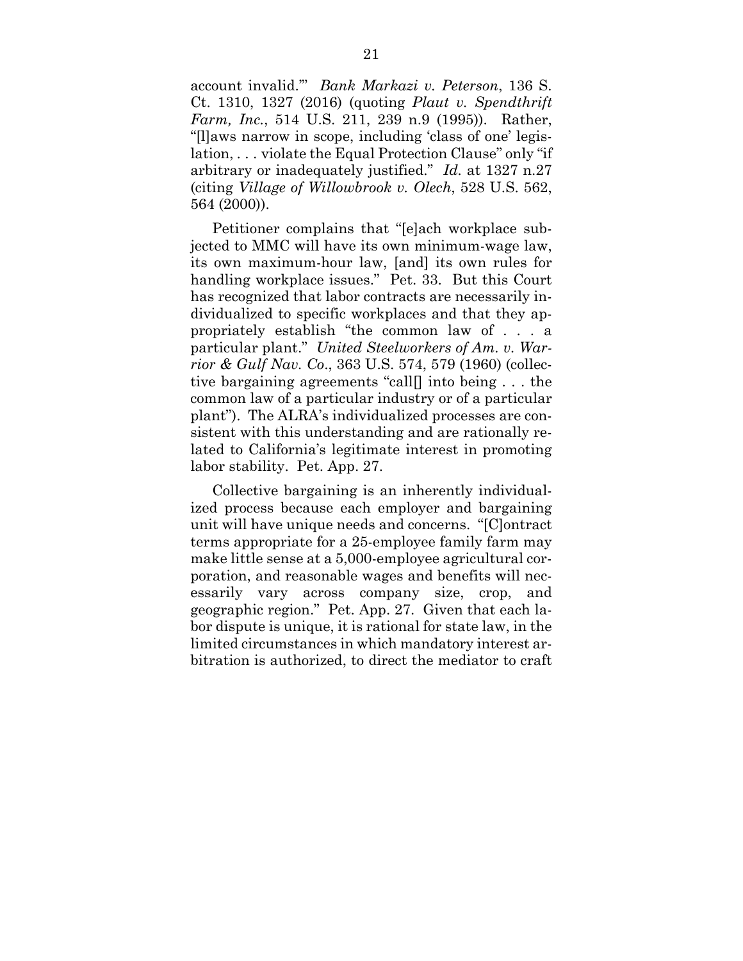account invalid.'" *Bank Markazi v. Peterson*, 136 S. Ct. 1310, 1327 (2016) (quoting *Plaut v. Spendthrift Farm, Inc.*, 514 U.S. 211, 239 n.9 (1995)). Rather, "[l]aws narrow in scope, including 'class of one' legislation, . . . violate the Equal Protection Clause" only "if arbitrary or inadequately justified." *Id.* at 1327 n.27 (citing *Village of Willowbrook v. Olech*, 528 U.S. 562, 564 (2000)).

Petitioner complains that "[e]ach workplace subjected to MMC will have its own minimum-wage law, its own maximum-hour law, [and] its own rules for handling workplace issues." Pet. 33. But this Court has recognized that labor contracts are necessarily individualized to specific workplaces and that they appropriately establish "the common law of . . . a particular plant." *United Steelworkers of Am. v. Warrior & Gulf Nav. Co*., 363 U.S. 574, 579 (1960) (collective bargaining agreements "call[] into being . . . the common law of a particular industry or of a particular plant"). The ALRA's individualized processes are consistent with this understanding and are rationally related to California's legitimate interest in promoting labor stability. Pet. App. 27.

Collective bargaining is an inherently individualized process because each employer and bargaining unit will have unique needs and concerns. "[C]ontract terms appropriate for a 25-employee family farm may make little sense at a 5,000-employee agricultural corporation, and reasonable wages and benefits will necessarily vary across company size, crop, and geographic region." Pet. App. 27. Given that each labor dispute is unique, it is rational for state law, in the limited circumstances in which mandatory interest arbitration is authorized, to direct the mediator to craft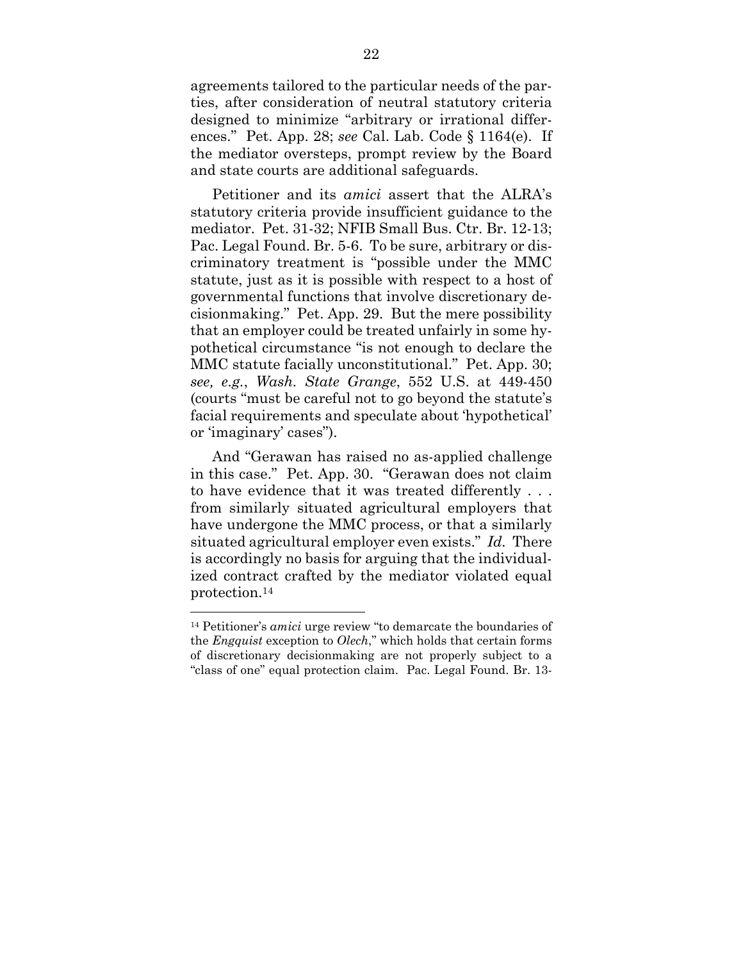agreements tailored to the particular needs of the parties, after consideration of neutral statutory criteria designed to minimize "arbitrary or irrational differences." Pet. App. 28; *see* Cal. Lab. Code § 1164(e). If the mediator oversteps, prompt review by the Board and state courts are additional safeguards.

Petitioner and its *amici* assert that the ALRA's statutory criteria provide insufficient guidance to the mediator. Pet. 31-32; NFIB Small Bus. Ctr. Br. 12-13; Pac. Legal Found. Br. 5-6. To be sure, arbitrary or discriminatory treatment is "possible under the MMC statute, just as it is possible with respect to a host of governmental functions that involve discretionary decisionmaking." Pet. App. 29. But the mere possibility that an employer could be treated unfairly in some hypothetical circumstance "is not enough to declare the MMC statute facially unconstitutional." Pet. App. 30; *see, e.g.*, *Wash. State Grange*, 552 U.S. at 449-450 (courts "must be careful not to go beyond the statute's facial requirements and speculate about 'hypothetical' or 'imaginary' cases").

And "Gerawan has raised no as-applied challenge in this case." Pet. App. 30. "Gerawan does not claim to have evidence that it was treated differently . . . from similarly situated agricultural employers that have undergone the MMC process, or that a similarly situated agricultural employer even exists." *Id.* There is accordingly no basis for arguing that the individualized contract crafted by the mediator violated equal protection.14

 $\overline{a}$ 14 Petitioner's *amici* urge review "to demarcate the boundaries of the *Engquist* exception to *Olech*," which holds that certain forms of discretionary decisionmaking are not properly subject to a "class of one" equal protection claim. Pac. Legal Found. Br. 13-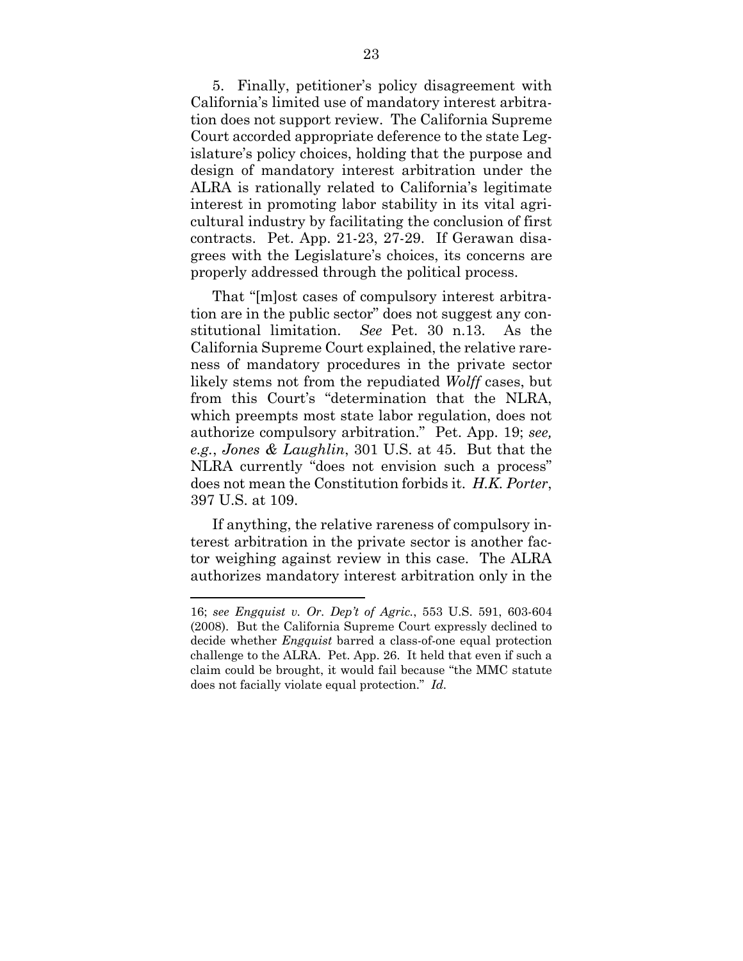5. Finally, petitioner's policy disagreement with California's limited use of mandatory interest arbitration does not support review. The California Supreme Court accorded appropriate deference to the state Legislature's policy choices, holding that the purpose and design of mandatory interest arbitration under the ALRA is rationally related to California's legitimate interest in promoting labor stability in its vital agricultural industry by facilitating the conclusion of first contracts. Pet. App. 21-23, 27-29. If Gerawan disagrees with the Legislature's choices, its concerns are properly addressed through the political process.

That "[m]ost cases of compulsory interest arbitration are in the public sector" does not suggest any constitutional limitation. *See* Pet. 30 n.13. As the California Supreme Court explained, the relative rareness of mandatory procedures in the private sector likely stems not from the repudiated *Wolff* cases, but from this Court's "determination that the NLRA, which preempts most state labor regulation, does not authorize compulsory arbitration." Pet. App. 19; *see, e.g.*, *Jones & Laughlin*, 301 U.S. at 45. But that the NLRA currently "does not envision such a process" does not mean the Constitution forbids it. *H.K. Porter*, 397 U.S. at 109.

If anything, the relative rareness of compulsory interest arbitration in the private sector is another factor weighing against review in this case. The ALRA authorizes mandatory interest arbitration only in the

<sup>16;</sup> *see Engquist v. Or. Dep't of Agric.*, 553 U.S. 591, 603-604 (2008). But the California Supreme Court expressly declined to decide whether *Engquist* barred a class-of-one equal protection challenge to the ALRA. Pet. App. 26. It held that even if such a claim could be brought, it would fail because "the MMC statute does not facially violate equal protection." *Id.*